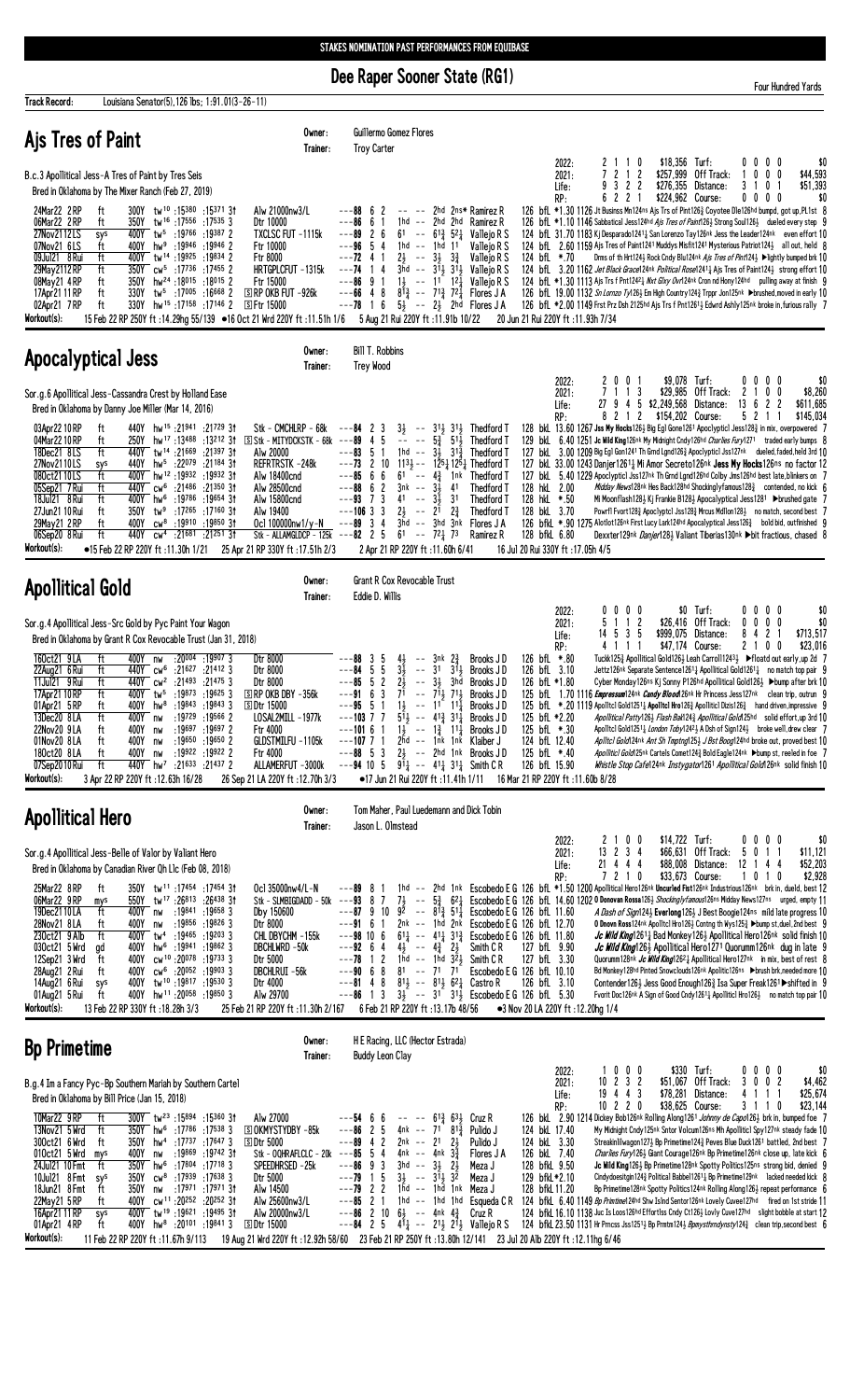Dee Raper Sooner State (RG1)

**Four Hundred Varde** 

|                                                                                                                                                                                               |                                                                                                            |                                                                                                                                                                                                                                       |                                                                                                                                                                                                                            |                                                                                        |                                                                     | Four Hundred Yards                                                                                                                                                                                                                                                                                                                      |
|-----------------------------------------------------------------------------------------------------------------------------------------------------------------------------------------------|------------------------------------------------------------------------------------------------------------|---------------------------------------------------------------------------------------------------------------------------------------------------------------------------------------------------------------------------------------|----------------------------------------------------------------------------------------------------------------------------------------------------------------------------------------------------------------------------|----------------------------------------------------------------------------------------|---------------------------------------------------------------------|-----------------------------------------------------------------------------------------------------------------------------------------------------------------------------------------------------------------------------------------------------------------------------------------------------------------------------------------|
| <b>Track Record:</b><br>Louisiana Senator(5), 126 lbs; 1:91.01(3-26-11)                                                                                                                       |                                                                                                            |                                                                                                                                                                                                                                       |                                                                                                                                                                                                                            |                                                                                        |                                                                     |                                                                                                                                                                                                                                                                                                                                         |
| Ajs Tres of Paint                                                                                                                                                                             | Owner:<br>Trainer:                                                                                         | Guillermo Gomez Flores<br><b>Troy Carter</b>                                                                                                                                                                                          |                                                                                                                                                                                                                            |                                                                                        |                                                                     |                                                                                                                                                                                                                                                                                                                                         |
| B.c.3 Apollitical Jess-A Tres of Paint by Tres Seis                                                                                                                                           |                                                                                                            |                                                                                                                                                                                                                                       |                                                                                                                                                                                                                            | 2022:<br>2021:                                                                         | \$18,356 Turf:<br>2 1 1 0<br>7212<br>9 3 2 2<br>\$276,355 Distance: | \$0<br>$0\,0\,0\,0$<br>\$257,999 Off Track:<br>1000<br>\$44,593<br>3 1<br>\$51,393<br>0 <sub>1</sub>                                                                                                                                                                                                                                    |
| Bred in Oklahoma by The Mixer Ranch (Feb 27, 2019)<br>24Mar22 2RP<br>300Y tw <sup>10</sup> :15380:1537131<br>ft                                                                               | Alw 21000nw3/L                                                                                             | ---88 6<br>-2                                                                                                                                                                                                                         | 2hd 2ns* Ramirez R                                                                                                                                                                                                         | Life:<br>RP:                                                                           | 6 2 2 1<br>\$224,962 Course:                                        | 0000<br>\$0<br>126 bfL *1.30 1126 Jt Businss Mn124ns Ajs Trs of Pint1263 Coyotee Dle126hd bumpd, got up, PL1st 8                                                                                                                                                                                                                        |
| 06Mar22 2RP<br>350Y tw <sup>16</sup> :17556:175353<br>ft<br>27Nov2112LS<br>400Y tw <sup>5</sup> :19766 :19387 2<br>sys                                                                        | Dtr 10000<br>TXCLSC FUT -1115k                                                                             | ---86 6<br>-1<br>$---89$ 2 6                                                                                                                                                                                                          | 1hd $-$ 2hd 2hd Ramirez R<br>$61 - 61\frac{3}{4} 52\frac{1}{4}$<br>Vallejo R S                                                                                                                                             |                                                                                        |                                                                     | 126 bfL *1.10 1146 Sabbatical Jess124hd Ajs Tres of Paint126} Strong Soul126} dueled every step 9<br>124 bfL 31.70 1183 Kj Desparado12411 San Lorenzo Tay126nk Jess the Leader124nk even effort 10                                                                                                                                      |
| 07Nov21 6LS<br>ft<br>400Y hw <sup>9</sup> :19946 :19946 2<br>400Y tw <sup>14</sup> :19925 :19834 2<br>09Jul21 8 Rui<br>ft<br>29May 2112 RP<br>350Y cw <sup>5</sup> :17736 :17455 2            | Ftr 10000<br>Ftr 8000<br>HRTGPLCFUT -1315k                                                                 | $---96$ 5 4<br>$1hd - - 1hd 11$<br>$2\frac{1}{2}$ -- $3\frac{1}{2}$ $3\frac{3}{4}$<br>$---72$ 4 1<br>$---74$<br>14                                                                                                                    | Vallejo R S<br>Vallejo R S<br>$3\bar{h}d$ -- $3\bar{1}3\bar{3}$<br>Valleio R S                                                                                                                                             | 124 bfL $*.70$                                                                         |                                                                     | 124 bfl 2.60 1159 Ajs Tres of Paint1241 Muddys Misfit1241 Mysterious Patriot124 <sub>2</sub> all out, held 8<br>Drms of th Hrt124½ Rock Cndy Blu124nk Ajs Tres of Pint124½ $\blacktriangleright$ lightly bumped brk 10<br>124 bfl 3.20 1162 Jet Black Grace124nk Political Rose12411 Ajs Tres of Paint1241 strong effort 10             |
| ft<br>350Y hw <sup>24</sup> :18015:18015 2<br>08May21 4RP<br>ft<br>17Apr21 11 RP<br>ft<br>$330Y$ tw <sup>5</sup> :17005 :16668 2                                                              | Ftr 15000<br>$S$ RP OKB FUT $-926k$                                                                        | $---86$ 9 1<br>$---66$ 4 8                                                                                                                                                                                                            | $1\frac{1}{2}$ -- $11^{6}$ $12\frac{1}{4}$<br>Valleio R S<br>$8^{13}$ -- $7^{13}$ $7^{21}$ Flores JA                                                                                                                       |                                                                                        |                                                                     | 124 bfl *1.30 1113 Ais Trs f Pnt1242 Hxt Glxy Ovr124nk Cron nd Hony124hd pulling away at finish 9<br>126 bfL 19.00 1132 Sn Lornzo Ty1263 Em High Country 1243 Trppr Jon125nk Dorushed, moved in early 10                                                                                                                                |
| 330Y hw <sup>15</sup> :17 <sup>158</sup> :17146 2<br>02Apr21 7RP<br>ft<br>Workout(s):                                                                                                         | <b>SFtr 15000</b><br>15 Feb 22 RP 250Y ft : 14.29hg 55/139 ● 16 Oct 21 Wrd 220Y ft : 11.51h 1/6            | $---78$ 1 6<br>5 Aug 21 Rui 220Y ft: 11.91b 10/22                                                                                                                                                                                     | $5\frac{1}{2}$ -- $2\frac{1}{2}$ 2hd Flores J A                                                                                                                                                                            | 20 Jun 21 Rui 220Y ft: 11.93h 7/34                                                     |                                                                     | 126 bfL *2.00 1149 Frst Prz Dsh 2125hd Ajs Trs f Pnt1261 <sub>2</sub> Edwrd Ashly125nk broke in, furious rally 7                                                                                                                                                                                                                        |
| <b>Apocalyptical Jess</b>                                                                                                                                                                     | Owner:<br>Trainer:                                                                                         | <b>Bill T. Robbins</b><br>Trey Wood                                                                                                                                                                                                   |                                                                                                                                                                                                                            |                                                                                        |                                                                     |                                                                                                                                                                                                                                                                                                                                         |
| Sor.g.6 Apollitical Jess-Cassandra Crest by Holland Ease                                                                                                                                      |                                                                                                            |                                                                                                                                                                                                                                       |                                                                                                                                                                                                                            | 2022:<br>2021:                                                                         | \$9,078 Turf:<br>2 0 0 1<br>7 1 1 3                                 | 0000<br>\$0<br>\$29,985 Off Track:<br>2100<br>\$8,260                                                                                                                                                                                                                                                                                   |
| Bred in Oklahoma by Danny Joe Miller (Mar 14, 2016)                                                                                                                                           |                                                                                                            |                                                                                                                                                                                                                                       |                                                                                                                                                                                                                            | Life:<br>RP:                                                                           | 27 9 4 5 \$2,249,568 Distance:<br>8 2 1 2<br>\$154,202 Course:      | 13<br>622<br>\$611,685<br>5 2 1 1<br>\$145.034                                                                                                                                                                                                                                                                                          |
| 03Apr22 10 RP<br>440Y hw <sup>15</sup> :21941 :21729 31<br>ft<br>04Mar2210RP<br>ft<br>250Y<br>18Dec21 8LS<br>440Y tw <sup>14</sup> :21669 :21397 31<br>ft                                     | Stk - CMCHLRP - $68k$ --- $84$ 2<br>hw <sup>17</sup> :13488 :13212 31 SStk - MITYDCKSTK - 68k<br>Alw 20000 | 3<br>$\sim$<br>5<br>$---894$<br>$ -$<br>$--83$ 5 1<br>$1$ hd $--$                                                                                                                                                                     | $3\frac{1}{2}$ -- $31\frac{1}{2}$ $31\frac{1}{2}$<br>Thedford T<br>$5\frac{3}{4}$ $51\frac{1}{2}$<br>Thedford T<br>$3\frac{1}{2}$ $31\frac{3}{4}$<br>Thedford T                                                            |                                                                                        |                                                                     | 128 bkl. 13.60 1267 Jss My Hocks1263 Big Egl Gone1261 Apoclypticl Jess1283 in mix, overpowered 7<br>129 bkl 6.40 1251 Jc Wild King126nk My Midnight Cndy126hd Charlies Fury1271 traded early bumps 8<br>127 bkl 3.00 1209 Big Eg1 Gon1241 Th Grnd Lgnd1263 Apoclyptic1 Jss127nk dueled, faded, held 3rd 10                              |
| 27Nov2110LS<br>440Y hw <sup>5</sup> :22079 :21184 31<br>sys<br>400Y hw <sup>12</sup> :19932:1993231<br>080ct2110LS<br>ft                                                                      | REFRTRSTK-248k<br>Alw 18400cnd                                                                             | $---73$ 2 10 113 $\frac{1}{2}$ -- 12 <sup>5</sup> $\frac{1}{4}$ 12 <sup>5</sup> $\frac{1}{4}$ Thedford T<br>$---85$ 6 6<br>$61 - - 4\frac{3}{4}$                                                                                      | 1nk<br>Thedford T                                                                                                                                                                                                          |                                                                                        |                                                                     | 127 bkl. 33.00 1243 Danjer12611 Mi Amor Secreto126nk Jess My Hocks126ns no factor 12<br>127 bkl 5.40 1229 Apoclyptic1 Jss127nk Th Grnd Lgnd126hd Colby Jms126hd best late, blinkers on 7                                                                                                                                                |
| 440Y cw <sup>6</sup> :21486 :21350 31<br>05Sep21 7 Rui<br>ft<br>400Y hw <sup>6</sup> :19786 :19654 31<br>18Jul21 8 Rui<br>ft<br>27Jun21 10 Rui<br>ft<br>350Y tw <sup>9</sup> :17265 :17160 31 | Alw 28500cnd<br>Alw 15800cnd<br>Alw 19400                                                                  | $--88$ 6 2<br>$3nk$ -- $3\frac{1}{2}$<br>$---93$ 7 3<br>$41 - 3\frac{1}{2} 31$<br>$---10633$<br>$2\frac{1}{2}$ --                                                                                                                     | 41<br>Thedford T<br>Thedford T<br>$2^{1}$ $2^{3}$<br>Thedford T                                                                                                                                                            | 128 hkL 2.00<br>128 hkL *.50<br>128 bkL 3.70                                           |                                                                     | <i>Midday News</i> 128 <sup>nk</sup> Hes Back128 <sup>hd</sup> Shockinglyfamous128 $\frac{3}{4}$ contended, no kick 6<br>Mi Moonflash1283 Kj Frankie B1283 Apocalyptical Jess1281 ▶brushed gate 7<br>Powrfl Fvort128 <sub>3</sub> Apoclyptcl Jss128 <sub>3</sub> Mrcus Mdllon128 <sub>2</sub> no match, second best 7                   |
| cw <sup>8</sup> :19910:1985031<br>29May21 2RP<br>ft<br>400Y<br>440Y<br>cw <sup>4</sup> :21 <sup>681</sup> :21 <sup>251</sup> 31<br>06Sep20 8 Rui<br>ft                                        | Oc1 100000nw1/y-N<br>Stk - ALLAMGLDCP - 125 $k$ ---82 2 5                                                  | $---89$ 3 4<br>$3hd$ --<br>$61 - 72\frac{1}{4}$ 73                                                                                                                                                                                    | 3hd 3nk<br>Flores J A<br>Ramirez R                                                                                                                                                                                         | 128 bfkL 6.80                                                                          |                                                                     | 126 bfkL *.90 1275 Alotlot126nk First Lucy Lark124hd Apocalyptical Jess126 <sup>3</sup> bold bid, outfinished 9<br>Dexxter129nk Danjer1281 Valiant Tiberias130nk > bit fractious, chased 8                                                                                                                                              |
| Workout(s):<br>●15 Feb 22 RP 220Y ft:11.30h 1/21                                                                                                                                              | 25 Apr 21 RP 330Y ft : 17.51h 2/3                                                                          | 2 Apr 21 RP 220Y ft: 11.60h 6/41                                                                                                                                                                                                      |                                                                                                                                                                                                                            | 16 Jul 20 Rui 330Y ft: 17.05h 4/5                                                      |                                                                     |                                                                                                                                                                                                                                                                                                                                         |
| <b>Apollitical Gold</b>                                                                                                                                                                       | Owner:<br>Trainer:                                                                                         | Grant R Cox Revocable Trust<br>Eddie D. Willis                                                                                                                                                                                        |                                                                                                                                                                                                                            |                                                                                        |                                                                     |                                                                                                                                                                                                                                                                                                                                         |
| Sor.g.4 Apollitical Jess-Src Gold by Pyc Paint Your Wagon<br>Bred in Oklahoma by Grant R Cox Revocable Trust (Jan 31, 2018)                                                                   |                                                                                                            |                                                                                                                                                                                                                                       |                                                                                                                                                                                                                            | 2022:<br>2021:<br>Life:                                                                | $0\ 0\ 0\ 0$<br>5 1 1 2<br>14 5 3 5<br>\$999,075 Distance:          | $$0$ Turf:<br>$0\,0\,0\,0$<br>\$0<br>$$26,416$ Off Track:<br>$0\ 0\ 0$<br>0<br>\$0<br>8<br>$\overline{2}$<br>4<br>\$713,517<br>-1                                                                                                                                                                                                       |
| 160ct21 9LA<br>ft<br>400Y nw                                                                                                                                                                  | $:20^{004}$ :19907 3<br>Dtr 8000                                                                           | $---88$ 3 5<br>$\frac{4\frac{1}{2}}{3\frac{1}{2}}$<br>$\sim$ $-$                                                                                                                                                                      | $3nk$ $2\frac{3}{4}$<br>Brooks J D                                                                                                                                                                                         | RP:<br>126 bfL *.80                                                                    | \$47,174 Course:<br>4 1 1 1                                         | 2 1 0 0<br>\$23,016<br>Tuckk125½ Apollitical Gold126↓ Leah Carroll1243↓ ▶ floatd out early, up 2d 7                                                                                                                                                                                                                                     |
| 440Y cw <sup>6</sup> :21627 :21412 3<br>22Aug21 6 Rui<br>ft<br>11Jul21 9 Rui<br>ft<br>440Y cw <sup>2</sup> :21493 :21475 3<br>ft<br>17Apr21 10 RP<br>400Y tw <sup>5</sup> :19873 :19625 3     | Dtr 8000<br>Dtr 8000<br>$\Box$ RP OKB DBY -356 k                                                           | $---84 5$<br>5<br>$---85 5 2$<br>$2\frac{1}{2}$<br>$\rightarrow$<br>$--9163$                                                                                                                                                          | $--$ 31 31 <sup>1</sup> / <sub>3</sub><br>Brooks JD<br>31 3hd<br>Brooks J D<br>$7^{\overline{1}}$ -- $7^{\overline{1}\frac{1}{2}}$ $7^{\overline{1}\frac{1}{2}}$<br>Brooks JD                                              | 126 bfL 3.10<br>126 bfL *1.80                                                          |                                                                     | Jettz126nk Separate Sentence1261 $\frac{1}{4}$ Apollitical Gold1261 $\frac{1}{4}$ no match top pair 9<br>Cyber Monday126ns Kj Sonny P126hd Apollitical Gold1263 ▶bump after brk 10<br>125 bfl. 1.70 1116 <i>Empressum</i> 124 <sup>nk</sup> <i>Candy Blood</i> 126 <sup>nk</sup> Hr Princess Jess127 <sup>nk</sup> clean trip, outrun 9 |
| 400Y hw <sup>8</sup> :19843 :19843 3<br>01Apr21 5RP<br>ft<br>13Dec20 8LA<br>:19729 :19566 2<br>ft<br>400Y nw                                                                                  | <b>SDtr 15000</b><br>LOSAL2MILL -1977k                                                                     | $---95$ 5 1 1 $\frac{1}{2}$ -- 11<br>$---103$ 7 7                                                                                                                                                                                     | $11\frac{1}{4}$<br>Brooks J D<br>$5^{11}$ -- $4^{13}$ $3^{11}$ Brooks JD                                                                                                                                                   | 125 bfL *2.20                                                                          |                                                                     | 125 bfl. *.20 1119 Apolitcl Gold1251 <sub>4</sub> Apolitcl Hro126 <sub>4</sub> Apoliiticl Dizis126 <sub>4</sub> hand driven, impressive 9<br>Apollitical Patty 1263 Flash Bak 1243 Apollitical Gold 125hd solid effort, up 3rd 10                                                                                                       |
| $:19697$ $:19697$ 2<br>22Nov20 9LA<br>ft<br>400Y<br>nw<br>:19650 :19650 2<br>400Y<br>01Nov20 8LA<br>ft<br>nw<br>:19922 :19922 2                                                               | <b>Ftr 4000</b><br>GLDSTMILFU -1105k                                                                       | ---101 6 1<br>$---107$ 7 1                                                                                                                                                                                                            | $1\frac{1}{2}$ -- $1\frac{3}{4}$ $11\frac{1}{4}$<br>Brooks J D<br>2hd -- 1nk 1nk Klaiber J                                                                                                                                 | 125 bfL *.30<br>124 bfL 12.40<br>125 bfL *.40                                          |                                                                     | Apolltcl Gold1251; London Toby1242; A Dsh of Sign124; broke well, drew clear 7<br>Apiltcl Gold 24nk Ant Sh Tmptng125} J Bst Boog124hd broke out, proved best 10<br>Apollitic1 Gold125nk Cartels Comet1243 Bold Eagle124nk >bump st, reeled in foe 7                                                                                     |
| 180ct20 8LA<br>ft<br>400Y<br>nw<br>ft<br>$: 21^{633} : 21^{437}$ 2<br>07Sep2010 Rui<br>440Y hw <sup>7</sup><br>Workout(s):<br>3 Apr 22 RP 220Y ft: 12.63h 16/28                               | Ftr 4000<br>ALLAMERFUT -3000k<br>26 Sep 21 LA 220Y ft: 12.70h 3/3                                          | $---88$ 5 3<br>$---94$ 10 5                                                                                                                                                                                                           | $2\frac{1}{2}$ -- 2hd 1nk Brooks JD<br>$91\frac{1}{4}$ -- $41\frac{1}{4}$ $31\frac{1}{4}$ Smith CR                                                                                                                         | 126 bfL 15.90<br>●17 Jun 21 Rui 220Y ft :11.41h 1/11 16 Mar 21 RP 220Y ft :11.60b 8/28 |                                                                     | Whistle Stop Cafe124nk Instygator1261 Apollitical Gold126nk solid finish 10                                                                                                                                                                                                                                                             |
| <b>Apollitical Hero</b>                                                                                                                                                                       | Owner:                                                                                                     | Tom Maher, Paul Luedemann and Dick Tobin<br>Jason L. Olmstead                                                                                                                                                                         |                                                                                                                                                                                                                            |                                                                                        |                                                                     |                                                                                                                                                                                                                                                                                                                                         |
| Sor.g.4 Apollitical Jess-Belle of Valor by Valiant Hero                                                                                                                                       | Trainer:                                                                                                   |                                                                                                                                                                                                                                       |                                                                                                                                                                                                                            | 2022:<br>2021:                                                                         | \$14,722 Turf:<br>2 1 0 0<br>13 2 3 4                               | $0\,0\,0\,0$<br>\$0<br>\$66,631 Off Track:<br>\$11,121<br>5<br>0<br>-1-1                                                                                                                                                                                                                                                                |
| Bred in Oklahoma by Canadian River Qh L1c (Feb 08, 2018)                                                                                                                                      |                                                                                                            |                                                                                                                                                                                                                                       |                                                                                                                                                                                                                            | Life:<br>RP:                                                                           | 21 4 4 4<br>7210<br>\$33,673 Course:                                | \$52,203<br>\$88,008 Distance:<br>12 1 4 4<br>\$2,928<br>0<br>$\mathbf{1}$<br>0<br>1                                                                                                                                                                                                                                                    |
| 25Mar22 8RP<br>350Y tw <sup>11</sup> :17454:1745431<br>ft<br>06Mar22 9RP<br>550Y<br>tw <sup>17</sup> :26813:26438.31<br>mys                                                                   | Ocl 35000nw4/L-N<br>Stk - SLMBIGDADD - 50k                                                                 | ---89 8<br>$7\frac{1}{2}$<br>---93<br>8<br>7                                                                                                                                                                                          |                                                                                                                                                                                                                            |                                                                                        |                                                                     | 1hd -- 2hd 1nk Escobedo E G 126 bfL *1.50 1200 Apollitical Hero126nk Uncurled Fist126nk Industrious126nk brk in, dueld, best 12<br>$-$ 5 <sup>3</sup> 6 <sup>2</sup> <sup>1</sup> Escobedo E G 126 bfL 14.60 1202 0 Donovan Rossa 126 <sup>3</sup> Shockingly famous126 <sup>ns</sup> Midday News127ns urged, empty 11                  |
| 19Dec2110LA<br>ft<br>:19841 :19658 3<br>400Y nw<br>:19856 :19826 3<br>28Nov21 8LA<br>400Y<br>ft<br>nw<br>230ct21 9 Alb<br>$:19^{465}:19^{203}3$<br>ft<br>400Y tw <sup>4</sup>                 | Dby 150600<br>Dtr 8000<br>CHL DBYCHM -155k                                                                 | ---87 9 10<br>92<br>---91<br>6<br>$\mathbf{1}$<br>6<br>$---98$ 10                                                                                                                                                                     | $-$ 8 <sup>13</sup> / <sub>4</sub> 51 <sup>1</sup> / <sub>4</sub> Escobedo E G 126 bfL 11.60<br>2nk -- 1hd 2nk Escobedo E G 126 bfL 12.70<br>$61\frac{1}{4}$ -- $41\frac{1}{4}$ $31\frac{3}{4}$ Escobedo E G 126 bfl 11.80 |                                                                                        |                                                                     | A Dash of Sign1243 Everlong1263 J Best Boogie124ns mild late progress 10<br>O Dnovn Ross124nk Apolltcl Hro1263 Contng th Wys1253 ▶bump st, duel, 2nd best 9<br><i>Jc Wild King</i> 1261 <sub>4</sub> Bad Monkey 126 <sub>3</sub> Apollitical Hero 126nk solid finish 10                                                                 |
| hw <sup>6</sup> :19941:198623<br>030ct21 5 Wrd<br>400Y<br>gd<br>12Sep21 3 Wrd<br>ft<br>400Y<br>cw <sup>10</sup> :20078:197333                                                                 | DBCHLWRD -50k<br>Dtr 5000                                                                                  | $---92$ 6 4<br>$---78$ 1 2                                                                                                                                                                                                            | $4\frac{1}{2}$ -- $4\frac{3}{4}$ $2\frac{1}{2}$<br>Smith C R<br>1hd $-$ 1hd $3\overline{2}$ Smith CR                                                                                                                       | 127 bfL 9.90<br>127 bfL 3.30                                                           |                                                                     | Jc Wild King126} Apollitical Hero1271 Quorumm126nk dug in late 9<br>Quorumm128nk <i>Jc Wild King</i> 12621 Apollitical Hero127nk in mix, best of rest 8                                                                                                                                                                                 |
| 28Aug21 2 Rui<br>ft<br>$cw6$ :20052 :19903 3<br>400Y<br>400Y<br>tw <sup>10</sup> :19817:195303<br>14Aug21 6 Rui<br>sys<br>hw <sup>11</sup> :20 <sup>058</sup> :198503                         | DBCHLRUI -56k<br>Dtr 4000                                                                                  | $---90$ 6 8<br>$81 - 71$ 71<br>$---81 4 8$                                                                                                                                                                                            | $81\frac{1}{2}$ -- $81\frac{1}{2}$ 62 $\frac{1}{4}$ Castro R                                                                                                                                                               | Escobedo E G 126 bfL 10.10<br>126 bfL 3.10                                             |                                                                     | Bd Monkey128hd Pinted Snowclouds126nk Apolitic126ns >brush brk, needed more 10<br>Contender126½ Jess Good Enough126½ Isa Super Freak1261▶shifted in 9<br>Fvorit Doc126nk A Sign of Good Cndy12611 Apollitic1 Hro1261 no match top pair 10                                                                                               |
| 01Aug21 5 Rui<br>ft<br>400Y<br>Workout(s):<br>13 Feb 22 RP 330Y ft: 18.28h 3/3                                                                                                                | Alw 29700<br>25 Feb 21 RP 220Y ft :11.30h 2/167                                                            | $---86$ 1 3<br>6 Feb 21 RP 220Y ft : 13.17b 48/56                                                                                                                                                                                     | $3\frac{1}{2}$ -- 31 $31\frac{1}{2}$ Escobedo E G 126 bfl 5.30                                                                                                                                                             | •3 Nov 20 LA 220Y ft: 12.20hg 1/4                                                      |                                                                     |                                                                                                                                                                                                                                                                                                                                         |
| <b>Bp Primetime</b>                                                                                                                                                                           | Owner:<br>Trainer:                                                                                         | H E Racing, LLC (Hector Estrada)<br><b>Buddy Leon Clay</b>                                                                                                                                                                            |                                                                                                                                                                                                                            |                                                                                        |                                                                     |                                                                                                                                                                                                                                                                                                                                         |
| B.g.4 Im a Fancy Pyc-Bp Southern Mariah by Southern Cartel                                                                                                                                    |                                                                                                            |                                                                                                                                                                                                                                       |                                                                                                                                                                                                                            | 2022:<br>2021:<br>Life:                                                                | 1 0 0 0<br>\$330 Turf:<br>$10$ 2 3 2<br>$19$ 4 4 3                  | \$0<br>0000<br>\$51,067 Off Track:<br>3 0 0 2<br>\$4,462<br>\$78,281 Distance:<br>4 1<br>\$25,674<br>-1                                                                                                                                                                                                                                 |
| Bred in Oklahoma by Bill Price (Jan 15, 2018)<br>300Y tw <sup>23</sup> :15894:1536031<br>10Mar22 9RP<br>ft                                                                                    | Alw 27000                                                                                                  | ---54 6<br>-6                                                                                                                                                                                                                         | $6^{13}_{4}$ $6^{31}_{2}$ Cruz R                                                                                                                                                                                           | RP:                                                                                    | $10$ 2 2 0<br>\$38,625 Course:                                      | 3 1 1 0<br>\$23,144<br>126 bkl 2.90 1214 Dickey Bob126nk Rolling Along1261 Johnny de Capo1261 brk in, bumped foe 7                                                                                                                                                                                                                      |
| 13Nov21 5 Wrd<br>ft<br>350Y hw <sup>6</sup> :17 <sup>786</sup> :175383<br>300ct21 6 Wrd<br>350Y hw <sup>4</sup> :17737 :17647 3<br>ft                                                         | SOKMYSTYDBY-85k<br><b>SDtr 5000</b>                                                                        | ---86<br>$\overline{c}$<br>5<br>$\overline{\mathbf{c}}$<br>2nk -- 21<br>---89<br>4                                                                                                                                                    | 4nk -- 71 81 $\frac{3}{4}$<br>Pulido J<br>$2\frac{1}{2}$<br>Pulido J                                                                                                                                                       | 124 bkL 17.40<br>124 bkL 3.30                                                          |                                                                     | My Midnight Cndy125nk Sntor Volcum126ns Mh Apolliticl Spy127nk steady fade 10<br>Streakinlilwagon1273 Bp Primetime1243 Peves Blue Duck1261 battled, 2nd best 7                                                                                                                                                                          |
| 010ct21 5 Wrd<br>:19869 :19742 3†<br>400Y<br>mys<br>nw<br>24Jul21 10 Fmt<br>ft<br>350Y hw <sup>6</sup> :17804:177183<br>10Jul21 8 Fmt<br>$350Y$ cw <sup>8</sup> :17939 :17638 3<br>sys        | Stk - OQHRAFLCLC - 20k<br>SPEEDHRSED - 25k<br>Dtr 5000                                                     | 5<br>$\overline{4}$<br>$--85$<br>4nk -- 4nk $3\frac{3}{4}$<br>---86<br>9<br>$\mathbf{3}$<br>$3hd$ -- $3\frac{1}{2}$ $2\frac{1}{2}$<br>5<br>$3\frac{1}{2}$ -- $3\overline{1}$ $\frac{1}{2}$ $3\overline{2}$<br>---79<br>$\overline{1}$ | Flores J A<br>Meza J<br>Meza J                                                                                                                                                                                             | 126 bkL 7.40<br>128 bfkL 9.50<br>129 bfkL*2.10                                         |                                                                     | <i>Charlies Fury</i> 1263 Giant Courage 126 <sup>nk</sup> Bp Primetime 126 <sup>nk</sup> close up, late kick 6<br>Jc Wild King1263 Bp Primetime128nk Spotty Politics125ns strong bid, denied 9<br>Cindydoesitgin1243 Political Babbel12611 Bp Primetime129nk lacked needed kick 8                                                       |
| ft<br>18Jun21 8 Fmt<br>350Y nw<br>22May21 5 RP<br>400Y cw <sup>11</sup> :20252 :20252 31<br>ft                                                                                                | :17 <sup>971</sup> :17 <sup>971</sup> 3†<br>Alw 14500<br>Alw 25600nw3/L                                    | $---79$ 2 2<br>2 <sub>1</sub><br>---85                                                                                                                                                                                                | 1hd -- 1hd 1nk Meza J<br>1hd -- 1hd 1hd Esqueda CR                                                                                                                                                                         | 128 bfkL 11.20                                                                         |                                                                     | Bp Primetime128nk Spotty Politics124nk Rolling Along1261 repeat performance 6<br>124 bfkl 6.40 1149 Bp Primtime124hd Shw Islnd Sentor126nk Lovely Cuvee127hd fired on 1st stride 11                                                                                                                                                     |
| 16Apr21 11 RP<br>400Y tw <sup>19</sup> :19621:19495 31<br>sys<br>ft<br>400Y hw <sup>8</sup> :20101 :19841 3<br>01Apr21 4RP                                                                    | Alw 20000nw3/L<br><b>SDtr 15000</b>                                                                        | $- -86$ 2 10 6 -- 4nk 4 $\frac{3}{4}$<br>$---84$ 2<br>5                                                                                                                                                                               | Cruz R<br>$4^{11}$ -- $2^{11}$ $2^{11}$ Vallejo R S                                                                                                                                                                        |                                                                                        |                                                                     | 124 bfkL 16, 10 1138 Juc Is Loos126hd Effortlss Cndy Ct1263 Lovly Cuve127hd slight bobble at start 12<br>124 bfkl 23.50 1131 Hr Prncss Jss1251 <sub>2</sub> Bp Prmtm124 <sub>2</sub> Bpmysthrndynsty124 <sub>3</sub> clean trip, second best 6                                                                                          |
| Workout(s):<br>11 Feb 22 RP 220Y ft: 11.67h 9/113                                                                                                                                             | 12.11hg 6/46 12.11hg 6/46 12.11hg 6/46 12.11hg 6/46 12.12.11hg 6/46 12.11hg 6/46 200 12.11hg 6/46          |                                                                                                                                                                                                                                       |                                                                                                                                                                                                                            |                                                                                        |                                                                     |                                                                                                                                                                                                                                                                                                                                         |

Fmt ft 350Y nw :17971 :17971 3f Alw 25600nw3/L ---79 2 2 1hd -- 1hd 1nk Meza J 128 bfkL11.20 Bp Primetime128nk Spotty Politics124nk Rolling Along126<sub>2</sub> repeat performance 6 RP ft 400Y cw<sup>11</sup>:20<sup>252</sup> :20<sup>252</sup> 31 Alw 25600nw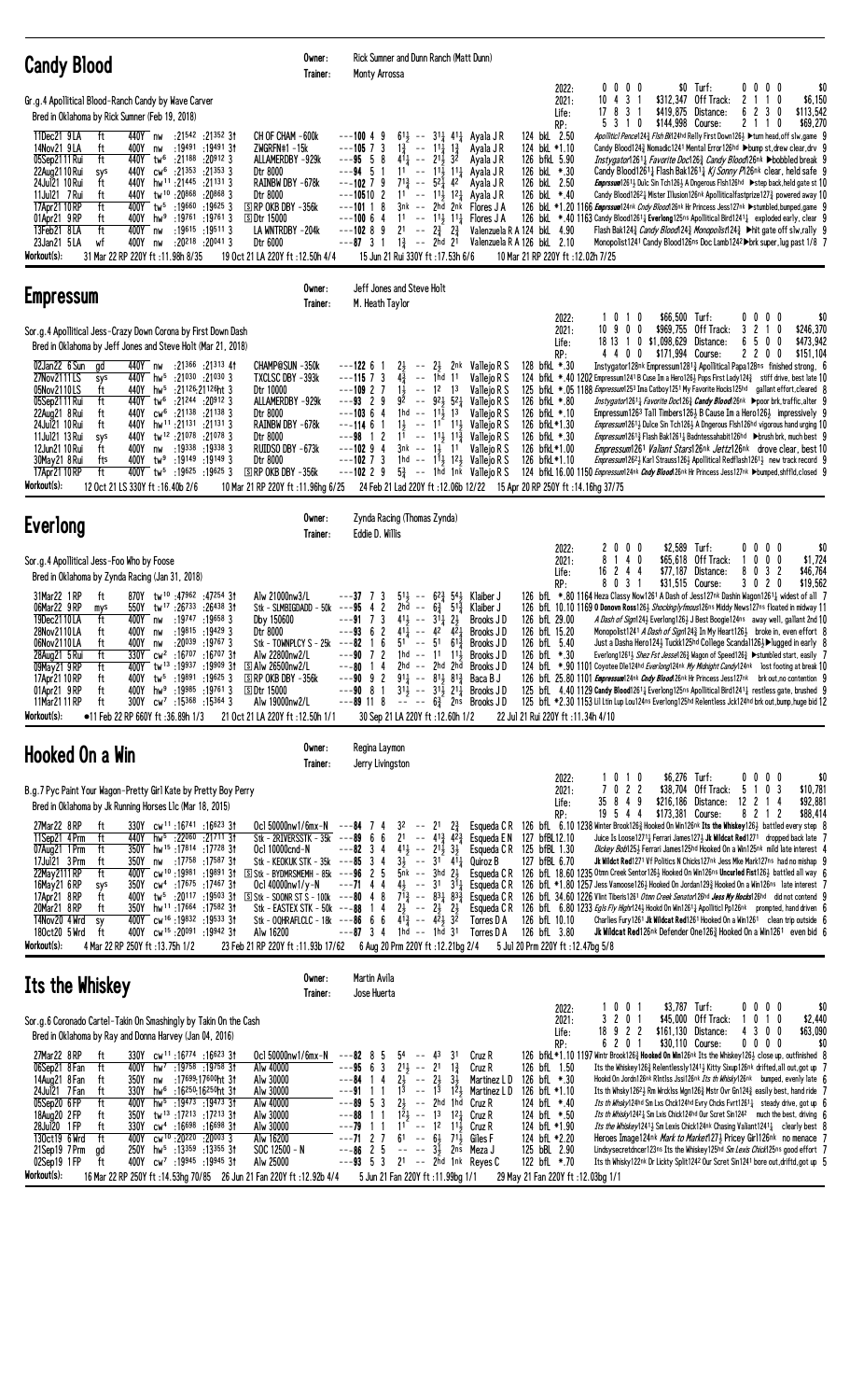| <b>Candy Blood</b>                                                                                                                                                                                                                                                                                                                                                                                                                                                                                                                                                                                                                                                                                                                                                                                                                                                                                                                                                                                                                                                                                                                                   | Owner:<br>Trainer: | Rick Sumner and Dunn Ranch (Matt Dunn)<br>Monty Arrossa                                                                                                                                                                                                                                                                                                                                                                                                                                                                                                                                                                                                       |                                                            |                                                                                                                                                                                                                                                                                                                                                                                                                                                                                                                                                                                                                                                                                               |                                |                                                                                                 |                                                                                       |                                                                                                                                                                                                                                                                                                                                                                                                                                                                                                                                                                                                                                                                                                                                                                                                                                                                                                                                                                                                                                                                                                                                                                                                              |
|------------------------------------------------------------------------------------------------------------------------------------------------------------------------------------------------------------------------------------------------------------------------------------------------------------------------------------------------------------------------------------------------------------------------------------------------------------------------------------------------------------------------------------------------------------------------------------------------------------------------------------------------------------------------------------------------------------------------------------------------------------------------------------------------------------------------------------------------------------------------------------------------------------------------------------------------------------------------------------------------------------------------------------------------------------------------------------------------------------------------------------------------------|--------------------|---------------------------------------------------------------------------------------------------------------------------------------------------------------------------------------------------------------------------------------------------------------------------------------------------------------------------------------------------------------------------------------------------------------------------------------------------------------------------------------------------------------------------------------------------------------------------------------------------------------------------------------------------------------|------------------------------------------------------------|-----------------------------------------------------------------------------------------------------------------------------------------------------------------------------------------------------------------------------------------------------------------------------------------------------------------------------------------------------------------------------------------------------------------------------------------------------------------------------------------------------------------------------------------------------------------------------------------------------------------------------------------------------------------------------------------------|--------------------------------|-------------------------------------------------------------------------------------------------|---------------------------------------------------------------------------------------|--------------------------------------------------------------------------------------------------------------------------------------------------------------------------------------------------------------------------------------------------------------------------------------------------------------------------------------------------------------------------------------------------------------------------------------------------------------------------------------------------------------------------------------------------------------------------------------------------------------------------------------------------------------------------------------------------------------------------------------------------------------------------------------------------------------------------------------------------------------------------------------------------------------------------------------------------------------------------------------------------------------------------------------------------------------------------------------------------------------------------------------------------------------------------------------------------------------|
| Gr.g.4 Apollitical Blood-Ranch Candy by Wave Carver<br>Bred in Oklahoma by Rick Sumner (Feb 19, 2018)<br>11Dec21 9LA<br>440Y nw<br>:21542 :21352 31<br>CH OF CHAM -600k<br>ft<br>14Nov21 9LA<br>:19 <sup>491</sup> :19 <sup>491</sup> 3†<br>$ZWGRFN#1 - 15k$<br>ft<br>400Y<br>nw<br>:21188 :20912 3<br>05Sep2111 Rui<br>ft<br>440Y tw <sup>6</sup><br>ALLAMERDBY -929k<br>22Aug2110 Rui<br>440Y<br>$cw6$ :21353 :21353 3<br>Dtr 8000<br>sys<br>24Jul21 10 Rui<br>440Y<br>hw <sup>11</sup> :21445<br>:21131 3<br>RAINBW DBY -678k<br>ft<br>440Y tw <sup>10</sup> :20868<br>:208683<br>11Jul21 7 Rui<br>ft<br>Dtr 8000<br>tw <sup>5</sup> :19660<br>:196253<br>$S$ RP OKB DBY $-356k$<br>17Apr21 10 RP<br>ft<br>400Y<br>$hw9$ :19761 :19761 3<br>01Apr21 9RP<br>400Y<br><b>SDtr 15000</b><br>ft<br>ft<br>13Feb21 8LA<br>400Y nw<br>:19615 :19511 3<br>LA WNTRDBY -204k<br>23Jan21 5LA<br>400Y<br>$:20^{218}$ $:20^{041}$ 3<br>Dtr 6000<br>wf<br>nw<br>Workout(s):<br>31 Mar 22 RP 220Y ft: 11.98h 8/35<br>19 Oct 21 LA 220Y ft: 12.50h 4/4                                                                                                             |                    | $---10049$<br>$6^{1}\frac{1}{2}$ -- $3^{1}\frac{1}{4}$ 4 <sup>1</sup> $\frac{1}{4}$ Ayala JR<br>$---105$ 7 3<br>$1\frac{3}{4}$ -- $11\frac{1}{4}$ $1\frac{3}{4}$<br>$--95$ 5 8<br>$41\frac{1}{4}$ -- 211<br>$11 - - 11\frac{1}{2}11\frac{1}{4}$<br>$--94$ 5 1<br>$---10279$<br>$71\frac{3}{4}$ -- $52\frac{1}{4}$ 42<br>$---10510$ 2<br>$11 - - 11$ , $12$ , Ayala JR<br>$---10118$<br>$11 - - 11\frac{1}{2} 11\frac{1}{4}$ Flores J A<br>$---10064$<br>$---10289$<br>$2^1$ -- $2^3$ $2^3$<br>$---87$ 3 1 1 $\frac{3}{4}$ -- 2hd 21<br>15 Jun 21 Rui 330Y ft : 17.53h 6/6                                                                                     | 32                                                         | 124 bkL 2.50<br>124 bkL *1.10<br>Ayala J R<br>126 bfkL 5.90<br>Ayala J R<br>126 bkL *.30<br>Ayala J R<br>126 bkL 2.50<br>Ayala J R<br>126 bkL *.40<br>$3nk$ -- 2hd 2nk Flores JA<br>Valenzuela R A 124 bkL 4.90<br>Valenzuela R A 126 bkL 2.10<br>10 Mar 21 RP 220Y ft: 12.02h 7/25                                                                                                                                                                                                                                                                                                                                                                                                           | 2022:<br>2021:<br>Life:<br>RP: | $0\ 0\ 0\ 0$<br>$10 \t4 \t3 \t1$<br>17 8 3 1<br>5 3 1 0                                         | $$0$ Turf:<br>\$312,347 Off Track:<br>\$419,875 Distance:<br>\$144,998 Course:        | \$0<br>$0\,0\,0\,0$<br>2 1 1 0<br>\$6,150<br>\$113,542<br>623<br>0<br>\$69,270<br>2 1 1<br>0<br>Apollitic1 Pence1243 Flsh Bk124hd Relly First Down1263 ▶ turn head, off slw, game 9<br>Candy Blood1243 Nomadic1241 Mental Error126hd ▶bump st, drew clear, drv 9<br><i>Instygator</i> 1261 <sub>4</sub> <i>Favorite Doc</i> 126 <sub>4</sub> <i>Candy Blood</i> 126 <sup>nk</sup> >bobbled break 9<br>Candy Blood1261 $\frac{1}{4}$ Flash Bak1261 $\frac{1}{4}$ Kj Sonny P126nk clear, held safe 9<br>Emprssum <sup>1</sup> 26 <sup>1</sup> } Dulc Sin Tch126} A Dngerous Flsh126hd >step back, held gate st 10<br>Candy Blood12621 Mister Illusion126nk Apolliticalfastprize1273 powered away 10<br>126 bkL *1.20 1166 <i>Emprssum</i> 124nk <i>Cndy Blood</i> 126nk Hr Princess Jess127nk >stumbled, bumped, game 9<br>126 bkl *.40 1163 Candy Blood12611 Everlong125ns Apollitical Bird12411 exploded early, clear 9<br>Flash Bak1243 Candy Blood1243 Monopolist1243 ► hit gate off slw, rally 9<br>Monopolist1241 Candy Blood126ns Doc Lamb1242 ▶ brk super, lug past 1/8 7                                                                                                                              |
| <b>Empressum</b>                                                                                                                                                                                                                                                                                                                                                                                                                                                                                                                                                                                                                                                                                                                                                                                                                                                                                                                                                                                                                                                                                                                                     | Owner:<br>Trainer: | Jeff Jones and Steve Holt<br>M. Heath Taylor                                                                                                                                                                                                                                                                                                                                                                                                                                                                                                                                                                                                                  |                                                            |                                                                                                                                                                                                                                                                                                                                                                                                                                                                                                                                                                                                                                                                                               |                                |                                                                                                 |                                                                                       |                                                                                                                                                                                                                                                                                                                                                                                                                                                                                                                                                                                                                                                                                                                                                                                                                                                                                                                                                                                                                                                                                                                                                                                                              |
| Sor.g.4 Apollitical Jess-Crazy Down Corona by First Down Dash<br>Bred in Oklahoma by Jeff Jones and Steve Holt (Mar 21, 2018)<br>02Jan22 6 Sun<br>440Y nw<br>:21366 :21313 41<br><b>CHAMP@SUN -350k</b><br>gd<br>TXCLSC DBY -393k<br>440Y hw <sup>5</sup> :21030 :21030 3<br>27Nov2111LS<br>sys<br>440Y<br>hw <sup>5</sup> :21126:21126ht 3<br>05Nov2110LS<br>ft<br>Dtr 10000<br>ft<br>440Y tw <sup>6</sup><br>:21244 :20912 3<br>05Sep2111 Rui<br>ALLAMERDBY -929k<br>22Aug21 8 Rui<br>440Y<br>cw <sup>6</sup> :21138 :21138 3<br>Dtr 8000<br>ft<br>24Jul21 10 Rui<br>hw <sup>11</sup> :21131 :21131 3<br>RAINBW DBY -678k<br>ft<br>440Y<br>21078 21078 21078 3<br>11Jul21 13 Rui<br>Dtr 8000<br>sys<br>400Y<br>:19338 :19338 3<br>RUIDSO DBY -673k<br>12Jun21 10 Rui<br>ft<br>nw<br>:19149 .19149 3<br>30May21 8 Rui<br>fts<br>400Y<br>tw°<br>Dtr 8000<br>400Y tw <sup>5</sup> :19625 :19625 3<br>17Apr21 10 RP<br>ft<br>$S$ RP OKB DBY $-356k$<br>Workout(s):<br>12 Oct 21 LS 330Y ft: 16.40b 2/6<br>10 Mar 21 RP 220Y ft :11.96hg 6/25                                                                                                           |                    | $---122$ 6 1<br>2}<br>$- - 2\frac{1}{2}$<br>$4\frac{3}{4}$<br>$---115$ 7 3<br>-- 1hd<br>$---10927$<br>$1\frac{1}{2}$<br>$---93$ 2 9<br>92<br>1hd -- $11\overline{3}$ 13<br>$---103$ 6 4<br>$1\frac{1}{2}$<br>$---11461$<br>$---98$ 1 2<br>$1^{\overline{1}}$ -- $1^{\overline{1}}$ $1^{\overline{2}}$<br>$---10294$<br>3nk -- 1½ 11<br>$---102$ 7 3<br>$---102$ 2 9                                                                                                                                                                                                                                                                                           | 11<br>$--$ 12 13<br>$--$ 92 $\frac{1}{2}$ 52 $\frac{1}{4}$ | 2nk Vallejo R S<br>128 bfkL *.30<br>Vallejo R S<br>Vallejo R S<br>126 bfkL *.80<br>Vallejo R S<br>126 bfkL *.10<br>Vallejo R S<br>$-- 11$ 1 <sup>1</sup> Vallejo R S<br>126 bfkL*1.30<br>Vallejo R S<br>126 bfkL *.30<br>126 bfkL*1.00<br>Vallejo R S<br>1hd -- $1^{11}$ , $1^{21}$ , Vallejo R S<br>126 bfkL*1.10<br>$5\frac{3}{4}$ -- 1hd 1nk Vallejo R S<br>24 Feb 21 Lad 220Y ft: 12.06b 12/22 15 Apr 20 RP 250Y ft: 14.16hg 37/75                                                                                                                                                                                                                                                        | 2022:<br>2021:<br>Life:<br>RP: | \$66,500 Turf:<br>1010<br>10900<br>18 13 1 0 \$1,098,629 Distance:<br>4 4 0 0 \$171,994 Course: | \$969,755 Off Track:                                                                  | \$0<br>$0\,0\,0\,0$<br>3 2 1 0<br>\$246,370<br>\$473.942<br>650<br>0<br>\$151,104<br>2200<br>Instygator128nk Empressum12813 Apollitical Papa128ns finished strong, 6<br>124 bfkl *.40 1202 Empressum1241 B Cuse Im a Hero1263 Pops First Lady1243 stiff drive, best late 10<br>125 bfkL *.05 1188 Empressum1253 Ima Catboy1251 My Favorite Hocks125hd gallant effort, cleared 8<br><i>Instygator</i> 1261 <sub>4</sub> <i>Favorite Doc</i> 126 <sub>4</sub> <i>Candy Blood</i> 126nk ▶poor brk, traffic, alter 9<br>Empressum1263 Tall Timbers1264 B Cause Im a Hero1264 impressively 9<br><i>Empressum</i> 126 <sup>1</sup> } Dulce Sin Tch126 } A Dngerous Flsh126hd vigorous hand urging 10<br><i>Empressum</i> 1261 <sup>3</sup> / <sub>4</sub> Flash Bak1261 <sup>1</sup> / <sub>4</sub> Badntessahabit126hd ▶brush brk, much best 9<br><i>Empressum</i> 1261 <i>Valiant Stars</i> 126 <sup>nk</sup> <i>Jettz</i> 126 <sup>nk</sup> drove clear, best 10<br><i>Empressum</i> 126 <sup>2</sup> } Karl Strauss126 <sup>1</sup> Apollitical Redflash126 <sup>1</sup> <sup>1</sup> new track record 9<br>124 bfkl 16.00 1150 Empressum124nk Cndy Blood126nk Hr Princess Jess127nk >bumped, shffld, closed 9 |
| <b>Everlong</b>                                                                                                                                                                                                                                                                                                                                                                                                                                                                                                                                                                                                                                                                                                                                                                                                                                                                                                                                                                                                                                                                                                                                      | Owner:<br>Trainer: | Zynda Racing (Thomas Zynda)<br>Eddie D. Willis                                                                                                                                                                                                                                                                                                                                                                                                                                                                                                                                                                                                                |                                                            |                                                                                                                                                                                                                                                                                                                                                                                                                                                                                                                                                                                                                                                                                               |                                |                                                                                                 |                                                                                       |                                                                                                                                                                                                                                                                                                                                                                                                                                                                                                                                                                                                                                                                                                                                                                                                                                                                                                                                                                                                                                                                                                                                                                                                              |
| Sor.g.4 Apollitical Jess-Foo Who by Foose<br>Bred in Oklahoma by Zynda Racing (Jan 31, 2018)<br>31Mar22 1 RP<br>ft<br>870Y tw <sup>10</sup> :47962:4725431<br>Alw 21000nw3/L<br>06Mar22 9RP<br>550Y<br>tw <sup>17</sup> :26 <sup>733</sup> :26 <sup>438</sup> 31<br>mys<br>19Dec2110LA<br>ft<br>400Y nw<br>:19747 :19658 3<br>Dby 150600<br>28Nov2110LA<br>:19815 :19429 3<br>400Y<br>Dtr 8000<br>ft<br>nw<br>$: 20^{039} : 19^{767} 3$<br>06Nov2110LA<br>ft<br>400Y<br>Stk - TOWNPLCY S - 25k<br>nw<br>ft<br>330Y cw <sup>2</sup> :16707 :16707 3t<br>28Aug21 5 Rui<br>Alw 22800nw2/L<br>09May21 9 RP<br>ft<br>400Y tw <sup>13</sup> :19937:19909 31 SAlw 26500nw2/L<br>19625 400Y tw <sup>5</sup> :19891 .19625<br>17Apr21 10 RP<br>ft<br>$S$ RP OKB DBY $-356k$<br>hw <sup>9</sup> :19985 :19761 3<br>01Apr21 9RP<br>ft<br>400Y<br><b>SDtr 15000</b><br>11Mar21 11 RP<br>$300Y$ cw <sup>7</sup> :15368 :15364 3<br>Alw 19000nw2/L<br>ft<br>Workout(s):<br>•11 Feb 22 RP 660Y ft:36.89h 1/3<br>21 Oct 21 LA 220Y ft: 12.50h 1/1                                                                                                                    |                    | $---37$ 7 3<br>$51\frac{1}{2}$ -- $62\frac{3}{4}$ $54\frac{1}{2}$<br>Stk - SLMBIGDADD - $50k$ --- $95$ 4 2<br>2hd -- $6\frac{3}{4}$ 5 <sup>13</sup> / <sub>4</sub> Klaiber J<br>$---91$ 7 3<br>$41\frac{1}{2}$ -- $31\frac{1}{4}$ $2\frac{1}{2}$<br>$41\frac{1}{4}$ -- $42$ $42\frac{1}{4}$<br>$---93$ 6 2<br>6<br>$51 - 5161\frac{3}{7}$<br>$---82$ 1<br>$---90$ 7 2<br>1hd -- 11 11 <del>1</del><br>-80 1 4 2hd -- 2hd 2hd Brooks J D<br>$---90 \t 9 \t 2 \t 911 \t --- 811 \t 813$ Baca B J<br>$--90$ 8 1 $31\frac{1}{2}$ $- 31\frac{1}{2}$ $21\frac{1}{4}$ Brooks JD<br>$---89$ 11 8 $--- 6\frac{3}{7}$ 2ns Brooks JD<br>30 Sep 21 LA 220Y ft: 12.60h 1/2 |                                                            | Klaiber J<br>Brooks JD<br>126 bfL 29.00<br>Brooks JD<br>126 bfL 15.20<br>Brooks J D<br>126 bfL 5.40<br>Brooks JD<br>126 bfL *.30<br>22 Jul 21 Rui 220Y ft : 11.34h 4/10                                                                                                                                                                                                                                                                                                                                                                                                                                                                                                                       | 2022:<br>2021:<br>Life:<br>RP: | 2 0 0 0<br>8 1 4 0<br>16 2 4 4<br>8 0 3 1                                                       | \$2,589 Turf:<br>\$65,618 Off Track:<br>\$77,187 Distance:<br>\$31,515 Course:        | \$0<br>$0\ 0\ 0\ 0$<br>\$1,724<br>00<br>0<br>803<br>2<br>\$46,764<br>3 0 2<br>\$19,562<br>0<br>126 bfL *.80 1164 Heza Classy Now1261 A Dash of Jess127nk Dashin Wagon12611 widest of all 7<br>126 bfL 10.10 1169 0 Donovn Ross1263 Shockingly fmous126ns Middy News127ns floated in midway 11<br>A Dash of Sign124} Everlong126} J Best Boogie124ns away well, gallant 2nd 10<br>Monopolist1241 A Dash of Sign1243 In My Heart1263 broke in, even effort 8<br>Just a Dasha Hero124} Tuckk125hd College Scanda1126}▶lugged in early 8<br>Everlong1261} Shez Fst Jesse126} Wagon of Speed126} ▶ stumbled start, easily 7<br>124 bfl. *. 90 1101 Coyotee Dle124hd Everlong124nk My Midnight Candy124nk lost footing at break 10<br>126 bfl. 25.80 1101 <i>Empressum</i> 124nk <i>Cndy Blood</i> 126nk Hr Princess Jess127nk brk out, no contention 9<br>125 bfl 4.40 1129 Candy Blood12611 Everlong125ns Apollitical Bird12411 restless gate, brushed 9<br>125 bfL *2.30 1153 Lil Ltin Lup Lou124ns Everlong125hd Relentless Jck124hd brk out, bump, huge bid 12                                                                                                                                                |
| Hooked On a Win                                                                                                                                                                                                                                                                                                                                                                                                                                                                                                                                                                                                                                                                                                                                                                                                                                                                                                                                                                                                                                                                                                                                      | Owner:<br>Trainer: | Regina Laymon<br>Jerry Livingston                                                                                                                                                                                                                                                                                                                                                                                                                                                                                                                                                                                                                             |                                                            |                                                                                                                                                                                                                                                                                                                                                                                                                                                                                                                                                                                                                                                                                               |                                |                                                                                                 |                                                                                       |                                                                                                                                                                                                                                                                                                                                                                                                                                                                                                                                                                                                                                                                                                                                                                                                                                                                                                                                                                                                                                                                                                                                                                                                              |
| B.g.7 Pyc Paint Your Wagon-Pretty Girl Kate by Pretty Boy Perry<br>Bred in Oklahoma by Jk Running Horses L1c (Mar 18, 2015)<br>27Mar22 8RP<br>330Y cw <sup>11</sup> :16741 :16623 31<br>ft<br>11Sep21 4Prm<br>ft<br>440Y hw <sup>5</sup> :22060 :21711 31<br>350Y hw <sup>15</sup> :17814 :17728 31<br>07Aug21 1 Prm<br>ft<br>Ocl 10000cnd-N<br>350Y nw :17758 :17587 31<br>17Jul21 3 Prm<br>ft<br>$\sqrt{6}$ cw <sup>10</sup> :19 <sup>981</sup> :19 <sup>891</sup> 31 SJStk - BYDMRSMEMH - 85k --- <b>96</b> 2 5<br>22May 2111 RP<br>ft<br>400Y<br>350Y cw <sup>4</sup> :17675 :17467 31<br>Oc1 40000nw1/y-N<br>16May21 6 RP<br>sys<br>400Y tw <sup>5</sup> :20117 :19503 3t SStk - SOONR STS - 100k ---80 4 8 7 <sup>1</sup> 3 -- 83 3 Esqueda CR 126 bfl 34.60 1226 Vlint Tiberis1261 <i>Otmn Creek Senator</i> 126tol Jess My Hocks126tol did not contend 9<br>17Apr21 8RP<br>ft<br>20Mar21 8RP<br>350Y hw <sup>11</sup> :17664 :17582 31<br>ft<br>14Nov20 4 Wrd<br>400Y cw <sup>16</sup> :19832 :19533 31<br>sy<br>400Y cw <sup>15</sup> :20091:19942 31<br>180ct20 5 Wrd<br>Alw 16200<br>ft<br>Workout(s):<br>4 Mar 22 RP 250Y ft :13.75h 1/2 |                    | Ocl 50000nw1/6mx-N $---84$ 7 4<br>Stk - 2RIVERSSTK - 35k - - - 89 6 6 21 - - $4^{13}$ $4^{23}$ Esqueda E N 127 bfBL12.10<br>$- -82$ 3 4 $41\frac{1}{2}$ $- 21\frac{1}{2}$ $3\frac{1}{2}$<br>Stk - KEOKUK STK - 35k ---85 3 4<br>$3\frac{1}{2}$ -- $31$ $41\frac{1}{4}$ Quiroz B<br>5nk -- 3hd 2½<br>$---71$ 4 4<br>$2\frac{1}{2}$ -- $2\frac{1}{2}$ $2\frac{1}{2}$<br>Stk - EASTEX STK - 50k ---88 1 4<br>Stk - OQHRAFLCLC - 18k ---86 6 6 4 $\bar{1}^3$ -- 4 $\bar{2}^1$ 3 $\bar{2}$<br>$---87$ 3 4 1hd $---$ 1hd 31<br>2/4 23 Feb 21 RP 220Y ft :11.93b 17/62 6 Aug 20 Prm 220Y ft :12.21bg 2/4                                                             |                                                            | $3^2$ -- 21 2 $\frac{3}{4}$ Esqueda CR 126 bfl. 6.10 1238 Winter Brook126 $\frac{3}{4}$ Hooked On Win126nk Its the Mhiskey126 $\frac{1}{2}$ battled every step 8<br>Esqueda C R 125 bfBL 1.30<br>127 bfBL 6.70<br>Esqueda C R 126 bfL 18.60 1235 Otmn Creek Sentor1261 Hooked On Win126ns Uncurled Fist1261 battled all way 6<br>4} -- 31 3 $\bar{1}$ Esqueda CR 126 bfL *1.80 1257 Jess Vamoose126} Hooked On Jordan129 $\frac{3}{4}$ Hooked On a Win126ns late interest 7<br>Esqueda CR 126 bfl 6.80 1233 Egls Fly Highr124} Hookd On Win1261} Apolliticl Pp126nk prompted, hand driven 6<br>Torres D A<br>126 bfL 10.10<br>126 bfL 3.80<br>Torres D A<br>5 Jul 20 Prm 220Y ft: 12.47bg 5/8 | 2022:<br>2021:<br>Life:<br>RP: | 1010<br>7 0 2 2<br>35 8 4 9<br>19 5 4 4                                                         | \$6,276 Turf:<br>\$38,704 Off Track:<br>$$216,186$ Distance:<br>\$173,381 Course:     | $0\ 0\ 0\ 0$<br>\$0<br>5 1 0 3<br>\$10,781<br>\$92,881<br>12  2  1  4<br>8 2 1 2<br>\$88,414<br>Juice Is Loose1271 <sub>4</sub> Ferrari James127 <sub>3</sub> Jk Wildcat Red1271 dropped back late 7<br>Dickey Bob1253 Ferrari James125hd Hooked On a Win125nk mild late interest 4<br>Jk Wildct Red1271 Vf Politics N Chicks127nk Jess Mke Mark127ns had no mishap 9<br>Charlies Fury1261 Jk Wildcat Red1261 Hooked On a Win1261 clean trip outside 6<br>Jk Wildcat Red126nk Defender One126 $\frac{3}{4}$ Hooked On a Win1261 even bid 6                                                                                                                                                                                                                                                                                                                                                                                                                                                                                                                                                                                                                                                                   |
| Its the Whiskey                                                                                                                                                                                                                                                                                                                                                                                                                                                                                                                                                                                                                                                                                                                                                                                                                                                                                                                                                                                                                                                                                                                                      | Owner:<br>Trainer: | Martin Avila<br>Jose Huerta                                                                                                                                                                                                                                                                                                                                                                                                                                                                                                                                                                                                                                   |                                                            |                                                                                                                                                                                                                                                                                                                                                                                                                                                                                                                                                                                                                                                                                               |                                |                                                                                                 |                                                                                       |                                                                                                                                                                                                                                                                                                                                                                                                                                                                                                                                                                                                                                                                                                                                                                                                                                                                                                                                                                                                                                                                                                                                                                                                              |
| Sor.g.6 Coronado Cartel-Takin On Smashingly by Takin On the Cash<br>Bred in Oklahoma by Ray and Donna Harvey (Jan 04, 2016)<br>27Mar22 8RP<br>330Y cw <sup>11</sup> :16 <sup>774</sup> :16 <sup>623</sup> 31<br>ft<br>Oc1 50000nw1/6mx-N<br>400Y hw <sup>7</sup> :19758 :19758 31<br>ft<br>Alw 40000<br>06Sep21 8 Fan<br>14Aug21 8 Fan<br>350Y<br>nw :17699:17600ht 3†<br>Alw 30000<br>ft<br>hw <sup>6</sup> :16 <sup>250</sup> :16 <sup>250</sup> ht 31<br>24Jul21 7 Fan<br>ft<br>330Y<br>Alw 30000<br>400Y<br>hw <sup>5</sup> :19473 :19473 3t<br>Alw 40000<br>05Sep20 6FP<br>ft<br>18Aug20 2 FP<br>350Y<br>tw <sup>13</sup> :17213 :17213 3t<br>Alw 30000<br>ft<br>28Jul20 1 FP<br>$cw4$ :16698 :16698 31<br>ft<br>330Y<br>Alw 30000<br>130ct19 6 Wrd<br>cw <sup>10</sup> :20 <sup>220</sup> :20 <sup>003</sup> 3<br>ft<br>400Y<br>Alw 16200<br>21Sep19 7Prm<br>250Y<br>hw <sup>5</sup> :13359 :13355 31<br>$SOC 12500 - N$<br>gd<br>400Y cw <sup>7</sup> :19945 :19945 31<br>02Sep19 1FP<br>ft<br>Alw 25000<br>Workout(s):<br>16 Mar 22 RP 250Y ft: 14.53hg 70/85 26 Jun 21 Fan 220Y ft: 12.92b 4/4                                              |                    | $54 - 43$ 31<br>$---82$ 8 5<br>$---95$ 6 3 2 <sup>1</sup> / <sub>2</sub> $---$ 2 <sup>1</sup> 1 <sup>3</sup> / <sub>4</sub><br>$---84$ 14<br>$2\frac{1}{2}$ -- $2\frac{1}{2}$<br>$---91 1 1$<br>$---89 5 3$<br>$2\frac{1}{2}$ -- 2hd 1hd Cruz R<br>$---88$ 1 1<br>$1^{\overline{2}}\frac{1}{2}$ -- 13 121 Cruz R<br>$---79$ 1 1<br>$11$ -- $12$ $11\frac{1}{2}$ Cruz R<br>$--7127$<br>61 -- $6\frac{1}{2}$ 7 <sup>1</sup> / <sub>2</sub> Giles F<br>$--86$ 2 5<br>$-- -3\frac{1}{2}$ 2ns Meza J<br>$---93$ 5 3 21 $---2$ hd 1nk Reyes C<br>5 Jun 21 Fan 220Y ft : 11.99bg 1/1                                                                                 | $3\frac{1}{2}$                                             | Cruz R<br>Cruz R<br>126 bfL 1.50<br>Martinez L D<br>126 bfL *.30<br>$1^{\overline{3}}$ -- $1^{\overline{3}}$ $1^{\overline{2}}\frac{1}{2}$ Martinez LD<br>126 bfL *1.10<br>124 bfL *.40<br>124 bfL *.50<br>124 bfL *1.90<br>124 bfL *2.20<br>125 bBL 2.90<br>122 bfL *.70<br>29 May 21 Fan 220Y ft: 12.03bg 1/1                                                                                                                                                                                                                                                                                                                                                                               | 2022:<br>2021:<br>Life:<br>RP: | 1 0 0 1<br>3 2 0 1<br>18 9 2 2<br>6201                                                          | \$3,787 Turf:<br>\$45,000 Off Track:<br>1.<br>\$161,130 Distance:<br>\$30,110 Course: | \$0<br>0000<br>\$2,440<br>0 1 0<br>4 3 0 0<br>\$63,090<br>0000<br>\$0<br>126 bfkL *1.10 1197 Wintr Brook1263 Hooked On Win126nk Its the Whiskey1263 close up, outfinished 8<br>Its the Whiskey126 $\frac{3}{4}$ Relentlessly1241 $\frac{1}{2}$ Kitty Sixup126nk drifted, all out, got up 7<br>Hookd On Jordn126nk RIntlss Jssi126nk <i>Its th Whisky</i> 126nk bumped, evenly late 6<br>Its th Whsky126 <sup>2</sup> Rm Wrcklss Wgn126 <sup>3</sup> Mstr Ovr Gn124 <sup>3</sup> easily best, hand ride 7<br>Its th Whsky124hd Sm Lxs Chck124hd Evry Chcks Fvrt1261 $\frac{1}{4}$ steady drive, got up 6<br>Its th Whisky12421 Sm Lxis Chick124hd Our Scret Sin1242 much the best, driving 6<br><i>Its the Whiskey</i> 1241 <sub>2</sub> Sm Lexis Chick124 <sup>nk</sup> Chasing Valiant1241 <sub>4</sub> clearly best 8<br>Heroes Image124nk <i>Mark to Market</i> 1273 Pricey Girl126nk no menace 7<br>Lindsysecretdncer123ns Its the Whiskey125hd Sm Lexis Chick125ns good effort 7<br>Its th Whisky122nk Dr Lickty Split1242 Our Scret Sin1241 bore out, driftd, got up 5                                                                                                                                 |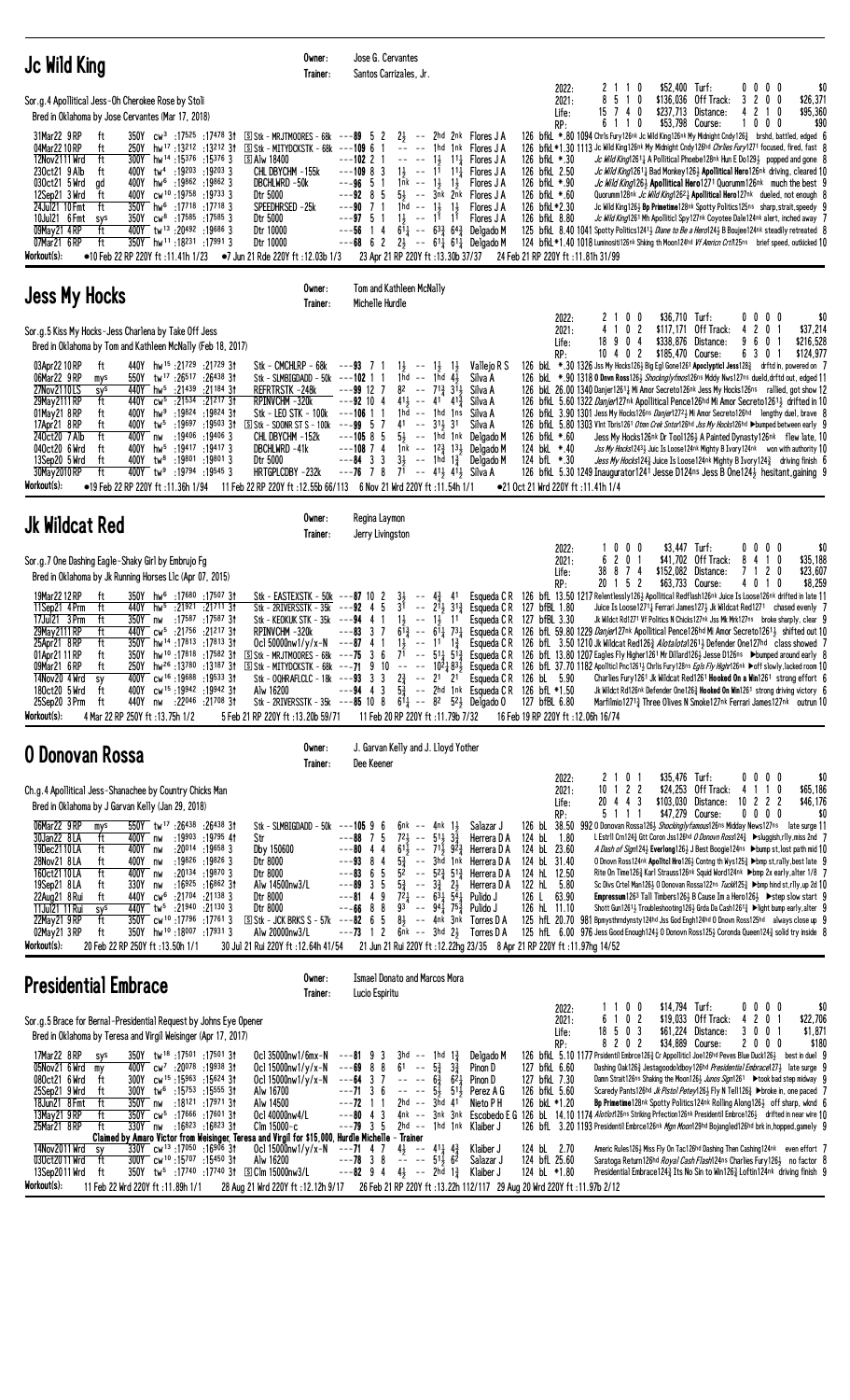| Jc Wild King                                                                                                                                                                                                                                                                                                                                                                                                                                                                                                                                                                                                                                                                                                                                                                                                                                                                                                                                                                                                                                                                                                                                                                                                                                    | Owner:<br>Trainer: | Jose G. Cervantes<br>Santos Carrizales, Jr.                                                                                                                                                                                                                                                                                                                                                                                                                                  |                                                                                                                                                                                                                                                                                                                                                                           |                                                                                                                                                                                            |                                                                                                                                                                                                             |                                                                                                                                                                                                                                                                                                                                                                                                                                                                                                                                                                                                                                                                                                                                                                         |                                                            |                                                                                                                                                                                                                                                                                                                                                                                                                                                                                                                                                                                                                                                                                                               |                                               |                                           |
|-------------------------------------------------------------------------------------------------------------------------------------------------------------------------------------------------------------------------------------------------------------------------------------------------------------------------------------------------------------------------------------------------------------------------------------------------------------------------------------------------------------------------------------------------------------------------------------------------------------------------------------------------------------------------------------------------------------------------------------------------------------------------------------------------------------------------------------------------------------------------------------------------------------------------------------------------------------------------------------------------------------------------------------------------------------------------------------------------------------------------------------------------------------------------------------------------------------------------------------------------|--------------------|------------------------------------------------------------------------------------------------------------------------------------------------------------------------------------------------------------------------------------------------------------------------------------------------------------------------------------------------------------------------------------------------------------------------------------------------------------------------------|---------------------------------------------------------------------------------------------------------------------------------------------------------------------------------------------------------------------------------------------------------------------------------------------------------------------------------------------------------------------------|--------------------------------------------------------------------------------------------------------------------------------------------------------------------------------------------|-------------------------------------------------------------------------------------------------------------------------------------------------------------------------------------------------------------|-------------------------------------------------------------------------------------------------------------------------------------------------------------------------------------------------------------------------------------------------------------------------------------------------------------------------------------------------------------------------------------------------------------------------------------------------------------------------------------------------------------------------------------------------------------------------------------------------------------------------------------------------------------------------------------------------------------------------------------------------------------------------|------------------------------------------------------------|---------------------------------------------------------------------------------------------------------------------------------------------------------------------------------------------------------------------------------------------------------------------------------------------------------------------------------------------------------------------------------------------------------------------------------------------------------------------------------------------------------------------------------------------------------------------------------------------------------------------------------------------------------------------------------------------------------------|-----------------------------------------------|-------------------------------------------|
| Sor.g.4 Apollitical Jess-Oh Cherokee Rose by Stoli<br>Bred in Oklahoma by Jose Cervantes (Mar 17, 2018)<br>31Mar22 9RP<br>350Y cw <sup>3</sup> :17525 :17478 31<br>ft<br>$S$ Stk - MRJTMOORES - 68k ---89 5 2<br>250Y hw <sup>17</sup> :13212 :13212 31<br>$S$ Stk - MITYDCKSTK - 68k ---109 6 1<br>04Mar 22 10 RP<br>ft<br>hw <sup>14</sup> :15376:153763<br>12Nov2111 Wrd<br>ft<br>300Y<br><b>SAIw 18400</b><br>230ct21 9 Alb<br>tw <sup>4</sup> :19203 :19203 3<br>CHL DBYCHM -155k<br>400Y<br>ft<br>hw <sup>6</sup> :19862 :19862 3<br>DBCHLWRD -50k<br>030ct21 5 Wrd<br>400Y<br>qd<br>cw <sup>10</sup> :19758:197333<br>400Y<br>Dtr 5000<br>12Sep21 3 Wrd<br>ft<br>350Y hw <sup>6</sup> :17718 :17718 3<br>SPEEDHRSED -25k<br>24Jul21 10 Fmt<br>ft<br>cw <sup>8</sup> :17585:175853<br>10Jul21 6 Fmt<br>350Y<br>Dtr 5000<br>sys<br>09May21 4RP<br>ft<br>19686 3 20492 19686 3<br>Dtr 10000<br>07Mar21 6RP<br>ft<br>350Y hw <sup>11</sup> :18 <sup>231</sup> :179913<br>Dtr 10000<br>Workout(s):<br>$\bullet$ 10 Feb 22 RP 220Y ft :11.41h 1/23<br>●7 Jun 21 Rde 220Y ft :12.03b 1/3                                                                                                                                                        |                    | $---102$ 2 1<br>$\sim$ $\sim$ $\sim$ $\sim$<br>$---109883$<br>$1\frac{1}{2}$ -- $1\overline{1}$<br>$---96$ 5 1<br>1nk -- 1 <del>,</del><br>$---92$ 8 5<br>$--90$ 7 1<br>1hd -- $1\frac{1}{2}$<br>$---97$ 5 1<br>$---56$ 1 4 $61\frac{1}{4}$ $---63\frac{3}{4}$ 6 <sup>43</sup> / <sub>4</sub> Delgado M<br>$---68$ 6 2 $2\frac{1}{2}$ -- $61\frac{1}{4}$ 61 Delgado M<br>23 Apr 21 RP 220Y ft: 13.30b 37/37                                                                  | $1\frac{1}{2}$<br>$11\frac{1}{2}$<br>$1\frac{1}{2}$<br>$5\frac{1}{2}$ -- $3\bar{n}k$ 2 $\bar{n}k$<br>-11<br>$1\frac{1}{2}$ -- $1^{\frac{1}{2}}$ 1 <sup>1</sup>                                                                                                                                                                                                            | $2\frac{1}{2}$ -- 2hd 2nk Flores JA<br>$---$ 1hd 1nk Flores JA<br>$11\frac{1}{4}$ Flores J A<br>Flores J A<br>Flores J A<br>Flores J A<br>Flores J A<br>Flores J A                         | 2022:<br>2021:<br>Life:<br>RP:<br>126 bfkL *.30<br>126 bfkL 2.50<br>126 bfkL *.90<br>126 bfkL *.60<br>126 bfkL*2.30<br>126 bfkL 8.80<br>24 Feb 21 RP 220Y ft: 11.81h 31/99                                  | 2110<br>8 5 1 0<br>$15$ 7 4 0<br>6 1 1 0<br>126 bfkL *.80 1094 Chr1s Fury126nk Jc Wild King126nk My Midnight Cndy126 $\frac{3}{4}$ brshd, battled, edged 6<br>126 bfkL *1.30 1113 Jc Wild King126nk My Midnight Cndy126hd Chrlies Fury1271 focused, fired, fast 8<br>125 bfkl 8.40 1041 Spotty Politics1241 <sup>3</sup> Diane to Be a Hero124 <sup>3</sup> B Boujee124 <sup>nk</sup> steadily retreated 8<br>124 bfkL *1.40 1018 Luminositi126nk Shking th Moon124hd Vf Amrien Crt/125ns brief speed, outkicked 10                                                                                                                                                                                                                                                     | \$52,400 Turf:<br>\$237,713 Distance:<br>\$53,798 Course:  | \$136,036 Off Track:<br>Jc Wild King12611 A Pollitical Phoebe128nk Hun E Do1291 popped and gone 8<br>Jc Wild King12611 Bad Monkey1261 Apollitical Hero126nk driving, cleared 10<br>Jc Wild Kina 1264 Apollitical Hero 1271 Quorumm 126nk much the best 9<br>Quorumm128nk Jc Wild King12621 Apollitical Hero127nk dueled, not enough 8<br>Jc Wild King126} Bp Primetime128nk Spotty Politics125ns sharp, strait, speedy 9<br>Jc Wild King1261 Mh Apolliticl Spy127nk Coyotee Dale124nk alert, inched away 7                                                                                                                                                                                                    | 0000<br>3 2 0 0<br>4 2 1 0<br>1000            | \$0<br>\$26,371<br>\$95,360<br>\$90       |
| <b>Jess My Hocks</b>                                                                                                                                                                                                                                                                                                                                                                                                                                                                                                                                                                                                                                                                                                                                                                                                                                                                                                                                                                                                                                                                                                                                                                                                                            | Owner:<br>Trainer: | Tom and Kathleen McNally<br>Michelle Hurdle                                                                                                                                                                                                                                                                                                                                                                                                                                  |                                                                                                                                                                                                                                                                                                                                                                           |                                                                                                                                                                                            |                                                                                                                                                                                                             |                                                                                                                                                                                                                                                                                                                                                                                                                                                                                                                                                                                                                                                                                                                                                                         |                                                            |                                                                                                                                                                                                                                                                                                                                                                                                                                                                                                                                                                                                                                                                                                               |                                               |                                           |
| Sor.g.5 Kiss My Hocks-Jess Charlena by Take Off Jess<br>Bred in Oklahoma by Tom and Kathleen McNally (Feb 18, 2017)<br>440Y hw <sup>15</sup> :21729 :21729 31<br>03Apr22 10 RP<br>ft<br>Stk - CMCHLRP - 68k<br>550Y tw <sup>17</sup> :26517 :26438 3t<br>06Mar22 9RP<br>Stk - SLMBIGDADD - 50k $-$ -102 1 1<br>mys<br>440Y hw <sup>5</sup> :21439 :21184 31<br>REFRTRSTK-248k<br>27Nov2110LS<br>sys<br>440Y<br>$cw^5$ :21534 :21217 31<br>RPINVCHM-320k<br>29May 2111 RP<br>ft<br>01May 21 8 RP<br>400Y<br>hw <sup>9</sup><br>:19824 :19824 3†<br>Stk - LEO STK - 100k ---106 1 1<br>ft<br>:19697 :19503 31<br>$S$ Stk - SOONR ST S - 100k ---99 5 7<br>17Apr21 8RP<br>ft<br>400Y<br>tw5<br>:19406<br>240ct20 7 Alb<br>ft<br>400Y<br>:194063<br>CHL DBYCHM -152k<br>nw<br>040ct20 6 Wrd<br>400Y<br>hw <sup>5</sup> :19417 :19417 3<br>DBCHLWRD -41k<br>ft<br>:19801 :19801 3<br>13Sep20 5 Wrd<br>ft<br>400Y<br>tw <sup>8</sup><br>Dtr 5000<br>HRTGPLCDBY -232k<br>30May 2010 RP<br>ft<br>400Y tw <sup>9</sup> :19794 :19545 3<br>Workout(s):<br>●19 Feb 22 RP 220Y ft:11.36h 1/94<br>11 Feb 22 RP 220Y ft :12.55b 66/113 6 Nov 21 Wrd 220Y ft :11.54h 1/1                                                                                       |                    | $1\frac{1}{2}$ -- $1\frac{1}{2}$<br>$---93$ 7 1<br>$---99 12 7$<br>$---92$ 10 4<br>$---105855$<br>$---108$ 7 4<br>$---84$ 3 3<br>$---76$ 7 8 7 <sup>1</sup> $---$ 4 <sup>1</sup> / <sub>2</sub> 4 <sup>1</sup> / <sub>2</sub> Silva A                                                                                                                                                                                                                                        | $1\frac{1}{2}$<br>1hd -- 1hd $4\frac{1}{2}$<br>$8^2$ -- $7^{13}$ $3^{11}$<br>$4^{11}$ -- $4^{1}$ $4^{1}$ $4^{1}$ Silva A<br>1hd $--$ 1hd 1ns Silva A<br>$41 - 31\frac{1}{2}31$                                                                                                                                                                                            | Valleio R S<br>Silva A<br>Silva A<br>Silva A<br>$5\frac{1}{2}$ -- 1hd 1nk Delgado M<br>1nk -- 12 $\frac{3}{4}$ 13 <sub>2</sub> Delgado M<br>$3\frac{1}{2}$ -- 1hd $1\frac{3}{4}$ Delgado M | 2022:<br>2021:<br>Life:<br>RP:<br>126 bfkL *.60<br>124 bkL *.40<br>124 bfL *.30<br>●21 Oct 21 Wrd 220Y ft:11.41h 1/4                                                                                        | 2100<br>4 1 0 2<br>18 9 0 4<br>$10 + 02$<br>126 bkL $*$ .30 1326 Jss My Hocks126½ Big Eg1 Gone1261 Apoclypticl Jess128 $\frac{3}{4}$ drftd in, powered on 7<br>126 bkL *.90 1318 0 Dnvn Ross1263 Shocknglyfmos126ns Mddy Nws127ns dueld, drftd out, edged 11<br>126 bkl 26.00 1340 Danjer12611 Mi Amor Secreto126nk Jess My Hocks126ns rallied, got show 12<br>126 bfkL 5.60 1322 <i>Danjer</i> 127nk Apollitical Pence126hd Mi Amor Secreto1261 <sub>3</sub> drifted in 10<br>126 bfkL 3.90 1301 Jess My Hocks126ns Danjer12723 Mi Amor Secreto126hd lengthy duel, brave 8<br>126 bfkl 5.80 1303 Vint Tbris1261 Otmn Crek Sntor126hd Jss My Hocks126hd >bumped between early 9<br>126 bfkL 5.30 1249 Inaugurator 1241 Jesse D124ns Jess B One 1243 hesitant, gaining 9 | \$36,710 Turf:<br>\$338,876 Distance:<br>\$185,470 Course: | \$117,171 Off Track:<br>Jess My Hocks126nk Dr Too11261 A Painted Dynasty126nk flew late, 10<br>Jss My Hocks12433 Juic Is Loose124nk Mighty B Ivory124nk von with authority 10<br><i>Jess My Hocks</i> 124 $_{2}^{3}$ Juice Is Loose124 <sup>nk</sup> Mighty B Ivory124 $_{2}^{3}$ driving finish 6                                                                                                                                                                                                                                                                                                                                                                                                            | 0000<br>20<br>4<br>960<br>- 1<br>6301         | \$0<br>\$37,214<br>\$216,528<br>\$124,977 |
| <b>Jk Wildcat Red</b>                                                                                                                                                                                                                                                                                                                                                                                                                                                                                                                                                                                                                                                                                                                                                                                                                                                                                                                                                                                                                                                                                                                                                                                                                           | Owner:<br>Trainer: | Regina Laymon<br>Jerry Livingston                                                                                                                                                                                                                                                                                                                                                                                                                                            |                                                                                                                                                                                                                                                                                                                                                                           |                                                                                                                                                                                            |                                                                                                                                                                                                             |                                                                                                                                                                                                                                                                                                                                                                                                                                                                                                                                                                                                                                                                                                                                                                         |                                                            |                                                                                                                                                                                                                                                                                                                                                                                                                                                                                                                                                                                                                                                                                                               |                                               |                                           |
| Sor.g.7 One Dashing Eagle-Shaky Girl by Embrujo Fg<br>Bred in Oklahoma by Jk Running Horses L1c (Apr 07, 2015)<br>19Mar 22 12 RP<br>350Y hw <sup>6</sup> :17680 :17507 31<br>ft<br>Stk - EASTEXSTK - 50k ---87 10 2<br>11Sep21 4 Prm<br>ft<br>440Y hw <sup>5</sup> :21921 :21711 31<br>Stk - 2RIVERSSTK - $35k$ --- $92$ 4 5<br>17Jul21 3 Prm<br>ft<br>350Y nw<br>17587: 17587:<br>Stk - KEOKUK STK - 35k --- 94 4 1<br>440Y cw <sup>5</sup> :21756 :21217 31<br>29May 2111 RP<br>ft<br>RPINVCHM-320k<br>ft<br>350Y<br>hw <sup>14</sup> :17813:178133†<br>Ocl 50000nw1/y/x-N $--87$ 4 1<br>25Apr21 8RP<br>01Apr21 11 RP<br>ft<br>350Y<br>hw <sup>10</sup> :17818 :17582 31<br>250Y hw <sup>26</sup> :13780 :13187 3t S3tk - MITYDCKSTK - 68k ---71 9 10 -- -- 10 <sup>2</sup> 483} Esqueda CR 126 bfL 37.70 1182 Apoliticl Pnc1261} Chrilis Fury128ns Egals Fly Highn126nk >off slowly, lacked room 10<br>09Mar21 6 RP<br>ft<br>400Y cw <sup>16</sup> :19688:19533 3t<br>14Nov20 4 Wrd sy<br>cw <sup>15</sup> :19942:1994231<br>180ct20 5 Wrd<br>ft<br>400Y<br>Alw 16200<br>:22 <sup>046</sup> :21 <sup>708</sup> 31<br>25Sep20 3 Prm<br>ft<br>440Y<br>nw<br>Workout(s):<br>4 Mar 22 RP 250Y ft:13.75h 1/2<br>5 Feb 21 RP 220Y ft: 13.20b 59/71 |                    | $3\frac{1}{2}$<br>$--83$ 3 7<br>SStk - MRJTMOORES - 68k ---75 3 6 7 <sup>1</sup> -- 51 3 51 3 Esqueda C R 126 bfL 13.80 1207 Eagles Fly Higher1261 Mr Dillard126 Ussee D126ns Deumped around early 8<br>Stk - 0QHRAFLCLC - 18k ---93 3 3 $2\frac{3}{4}$ -- 2 <sup>1</sup> 2 <sup>1</sup> Esqueda C R 126 bL 5.90<br>$---94$ 4 3<br>Stk - 2RIVERSSTK - 35k ---85 10 8 $6^{11}$ -- 8 <sup>2</sup> 5 <sup>2</sup> / <sub>2</sub> Delgado 0<br>11 Feb 20 RP 220Y ft: 11.79b 7/32 | $- - 4\frac{3}{4}$ 41<br>$1\frac{1}{2}$ -- $1\frac{1}{2}$ $1$ <sup>-</sup><br>$1\frac{1}{2}$ -- $11\frac{3}{4}$                                                                                                                                                                                                                                                           | Esqueda C R<br>$5\frac{3}{4}$ -- 2hd 1nk Esqueda CR                                                                                                                                        | 2022:<br>2021:<br>Life:<br>RP:<br>$3^{\frac{1}{1}}$ -- $2^{\frac{1}{1}}3^{\frac{13}{4}}$ Esqueda C R 127 bfBL 1.80<br>127 bfBL 3.30<br>126 bfL *1.50<br>127 bfBL 6.80<br>16 Feb 19 RP 220Y ft: 12.06h 16/74 | 1000<br>6 2 0 1<br>38 8 7 4<br>20 1 5 2<br>Esqueda CR 126 bfL 13.50 1217 Relentlessly126} Apollitical Redflash126nk Juice Is Loose126nk drifted in late 11<br>$6\frac{73}{4}$ -- $6\frac{71}{4}$ 731 Esqueda CR 126 bfl. 59.80 1229 Danjer127nk Apollitical Pence126hd Mi Amor Secreto12611 shifted out 10<br>Esqueda CR 126 bfl 3.50 1210 Jk Wildcat Red1263 Alotalota12613 Defender One127hd class showed 7                                                                                                                                                                                                                                                                                                                                                           | \$3,447 Turf:<br>\$152,082 Distance:<br>\$63,733 Course:   | \$41,702 Off Track:<br>Juice Is Loose1271 <sub>4</sub> Ferrari James127 <sub>2</sub> Jk Wildcat Red1271 chased evenly 7<br>Jk Wildct Rd1271 Vf Politics N Chicks127nk Jss Mk Mrk127ns broke sharply, clear 9<br>Charlies Fury1261 Jk Wildcat Red1261 Hooked On a Win1261 strong effort 6<br>Jk Wildct Rd126nk Defender One1263 Hooked On Win1261 strong driving victory 6<br>Marfilmio 12713 Three Olives N Smoke 127nk Ferrari James 127nk outrun 10                                                                                                                                                                                                                                                         | 0000<br>8 4 1 0<br>7 1 2 0<br>4010            | \$0<br>\$35,188<br>\$23,607<br>\$8,259    |
| 0 Donovan Rossa                                                                                                                                                                                                                                                                                                                                                                                                                                                                                                                                                                                                                                                                                                                                                                                                                                                                                                                                                                                                                                                                                                                                                                                                                                 | Owner:<br>Trainer: | J. Garvan Kelly and J. Lloyd Yother<br>Dee Keener                                                                                                                                                                                                                                                                                                                                                                                                                            |                                                                                                                                                                                                                                                                                                                                                                           |                                                                                                                                                                                            |                                                                                                                                                                                                             |                                                                                                                                                                                                                                                                                                                                                                                                                                                                                                                                                                                                                                                                                                                                                                         |                                                            |                                                                                                                                                                                                                                                                                                                                                                                                                                                                                                                                                                                                                                                                                                               |                                               |                                           |
| Ch.g.4 Apollitical Jess-Shanachee by Country Chicks Man<br>Bred in Oklahoma by J Garvan Kelly (Jan 29, 2018)<br>06Mar22 9 RP<br>550Y tw <sup>17</sup> :26438 :26438 31<br>mys<br>Stk - SLMBIGDADD - 50k<br>:19903 :19795 41<br>30Jan22 8LA<br>400Y nw<br>Str<br>ft<br>19Dec2110LA<br>ft<br>$:20^{014}$ :19658 3<br>400Y nw<br>Dby 150600<br>28Nov21 8LA<br>:19826 :19826 3<br>Dtr 8000<br>ft<br>400Y<br>nw<br>160ct2110LA<br>ft<br>400Y<br>:20134 :19870 3<br>nw<br>Dtr 8000<br>$:16925$ $:16862$ 3t<br>330Y<br>Alw 14500nw3/L<br>19Sep21 8LA<br>ft<br>nw<br>22Aug21 8 Rui<br>ft<br>440Y<br>$cw6$ :21704 :21138 3<br>Dtr 8000<br>11Jul21 11 Rui<br>440Y tw <sup>5</sup> :21940 :21130 3<br>sys<br>Dtr 8000<br>350Y cw <sup>10</sup> :17796 :17761 3<br>$S$ Stk - JCK BRKS S - 57k ---82 6 5<br>22May21 9RP<br>ft<br>Alw 20000nw3/L<br>02May21 3 RP<br>ft<br>350Y hw <sup>10</sup> :18007 :17931 3<br>Workout(s):<br>20 Feb 22 RP 250Y ft: 13.50h 1/1<br>30 Jul 21 Rui 220Y ft : 12.64h 41/54                                                                                                                                                                                                                                                    |                    | $---10596$<br>$---88$ 7 5<br>$---80$ 4 4<br>$---93$ 8 4<br>$--83$ 6 5<br>52<br>$---89$ 3 5<br>$---81$ 4 9<br>$---66 8 8$<br>$---73$ 1 2 $6nk$ -- 3hd $2\frac{1}{2}$<br>21 Jun 21 Rui 220Y ft : 12.22hg 23/35 8 Apr 21 RP 220Y ft : 11.97hg 14/52                                                                                                                                                                                                                             | fink -- 4nk 1,<br>$72\frac{1}{2}$ -- $51\frac{1}{2}$ $3\frac{3}{4}$<br>$61\frac{1}{2}$ -- $71\frac{1}{2}$ $92\frac{3}{4}$<br>$5\frac{3}{4}$ -- 3hd 1nk<br>$- - 52\frac{3}{4} 51\frac{3}{4}$<br>$5\frac{3}{4}$ -- $3\frac{3}{4}$ $2\frac{1}{2}$<br>$72\frac{1}{4}$ -- $63\frac{1}{4}$ $5\frac{1}{4}$<br>$93 - 94\frac{1}{4}$ 75 $\frac{3}{4}$<br>$8\frac{1}{2}$ -- 4nk 3nk | Salazar J<br>Herrera D A<br>Herrera D A<br>Herrera D A<br>Herrera D A<br>Herrera D A<br>Pulido J<br>Pulido J<br>Torres D A<br>Torres D A                                                   | 2022:<br>2021:<br>Life:<br>RP:<br>126 bL 38.50<br>124 bL 1.80<br>124 bL 23.60<br>124 bL 31.40<br>124 hL 12.50<br>122 hL 5.80<br>126 L<br>63.90<br>126 hL 11.10<br>125 hfL 20.70                             | 2 1 0 1<br>$10 \t1 \t2 \t2$<br>20 4 4 3<br>5 1 1 1<br>992 0 Donovan Rossa1263 Shockingly famous126ns Midday News127ns late surge 11<br>981 Bpmysthrndynsty124hd Jss God Engh124hd 0 Dnovn Ross125hd always close up 9<br>125 hfl. 6.00 976 Jess Good Enough124 $\frac{1}{2}$ O Donovn Ross125 $\frac{1}{2}$ Coronda Queen124 $\frac{3}{4}$ solid try inside 8                                                                                                                                                                                                                                                                                                                                                                                                           | \$35,476 Turf:<br>\$103,030 Distance:<br>\$47,279 Course:  | \$24,253 Off Track:<br>L Estrll Crn124} Gtt Coron Jss126hd O Donovn Ross124} ▶sluggish,rlly,miss 2nd 7<br>A Dash of Sign124} Everlong126} J Best Boogie124ns >bump st, lost path mid 10<br>O Dnovn Ross124nk Apolitcl Hro1263 Contng th Wys1253 ▶bmp st,rally, best late 9<br>Rite On Time126½ Karl Strauss126nk Squid Word124nk ▶bmp 2x early, alter 1/8 7<br>Sc Divs Crtel Man126½ O Donovan Rossa122ns <i>Tuckk</i> 125½ → bmp hind st,rlly,up 2d 10<br><b>Empressum</b> 1263 Tall Timbers 1263 B Cause Im a Hero 1263 $\blacktriangleright$ step slow start 9<br>Shott Gun1261 <sup>1</sup> Troubleshooting126 <sup>1</sup> Grda Da Cash1261 <sup>3</sup> $\blacktriangleright$ light bump early, alter 9 | 0000<br>4 1 1 0<br>$10$ 2 2 2<br>$0\ 0\ 0\ 0$ | \$0<br>\$65,186<br>\$46,176<br>\$0        |
| <b>Presidential Embrace</b>                                                                                                                                                                                                                                                                                                                                                                                                                                                                                                                                                                                                                                                                                                                                                                                                                                                                                                                                                                                                                                                                                                                                                                                                                     | Owner:<br>Trainer: | <b>Ismael Donato and Marcos Mora</b><br>Lucio Espiritu                                                                                                                                                                                                                                                                                                                                                                                                                       |                                                                                                                                                                                                                                                                                                                                                                           |                                                                                                                                                                                            |                                                                                                                                                                                                             |                                                                                                                                                                                                                                                                                                                                                                                                                                                                                                                                                                                                                                                                                                                                                                         |                                                            |                                                                                                                                                                                                                                                                                                                                                                                                                                                                                                                                                                                                                                                                                                               |                                               |                                           |
| Sor.g.5 Brace for Bernal-Presidential Request by Johns Eye Opener<br>Bred in Oklahoma by Teresa and Virgil Weisinger (Apr 17, 2017)<br>17Mar22 8RP<br>350Y tw <sup>18</sup> :17501:1750131<br>Ocl 35000nw1/6mx-N<br>sys<br>400Y cw <sup>7</sup> :20078 :19938 3t<br>05Nov21 6 Wrd my<br>Ocl 15000nw1/y/x-N<br>080ct21 6 Wrd<br>cw <sup>15</sup> :15963 :15624 3t<br>Ocl $15000$ nw $1/y/x - N$<br>ft<br>300Y<br>300Y tw <sup>6</sup> :15753 :15555 31<br>25Sep21 9 Wrd<br>Alw 16700<br>ft<br>18Jun21 8 Fmt<br>ft<br>350Y nw<br>:18121 :17971 3†<br>Alw 14500<br>13May21 9RP<br>ft<br>350Y cw <sup>5</sup> :17666 :17601 31<br>Ocl 40000nw4/L<br>:16 <sup>823</sup> :16 <sup>823</sup> 3†<br>ft<br>330Y nw<br>25Mar21 8RP<br>$C$ lm 15000-c<br>Claimed by Amaro Victor from Weisinger, Teresa and Virgil for \$15,000, Hurdle Michelle - Trainer<br>330Y cw <sup>13</sup> :17050 :16906 31<br>14Nov2011 Wrd sy<br>030ct2011 Wrd ft<br>300Y cw <sup>10</sup> :15707 :15450 31<br>Alw 16200<br>350Y tw <sup>5</sup> :17740 :17740 31 SClm 15000nw3/L<br>13Sep2011 Wrd<br>ft<br>Workout(s):<br>11 Feb 22 Wrd 220Y ft : 11.89h 1/1<br>28 Aug 21 Wrd 220Y ft : 12.12h 9/17                                                                            |                    | $---8193$<br>$---69$ 8 8<br>$---64$ 3 7<br>$-- -- 6\frac{3}{4}$<br>$---71$ 3 6<br>$---72$ 1 1<br>$---80$ 4 3<br>$---79$ 3 5<br>Ocl 15000nw1/y/x-N $---71$ 4 7<br>$---78$ 3 8 -- -- 511, 62<br>$---82$ 9 4 $4\frac{1}{2}$ -- 2hd $1\frac{3}{4}$<br>26 Feb 21 RP 220Y ft : 13.22h 112/117 29 Aug 20 Wrd 220Y ft : 11.97b 2/12                                                                                                                                                  | 3hd -- 1hd 1 $\frac{3}{4}$<br>$61 - 5\frac{3}{4}$ $3\frac{3}{4}$<br>621<br>$2hd$ -- $3hd$ $41$<br>$2hd - - 1hd$ 1nk Klaiber J<br>$4\frac{1}{2}$ -- $41\frac{1}{4}$ $4\frac{3}{4}$                                                                                                                                                                                         | Delgado M<br>Pinon D<br>Pinon D<br>$-- -5$ , 51, Perez A G<br>Nieto P H<br>Klaiber J<br>Salazar J<br>Klaiber J                                                                             | 2022:<br>2021:<br>Life:<br>RP:<br>127 bfkL 6.60<br>127 bfkL 7.30<br>126 bfkL 5.60<br>126 bkL *1.20<br>124 bL 2.70<br>124 bfL 25.60<br>124 bL *1.80                                                          | 1100<br>6 1 0 2<br>$18 \t5 \t0 \t3$<br>8 2 0 2<br>126 bfkl. 5.10 1177 Prsidentil Embrce126 <sub>4</sub> Cr Appollitic1 Joe126hd Peves Blue Duck126 <sub>2</sub> best in duel 9<br>4nk -- 3nk 3nk Escobedo E G 126 bl. 14.10 1174 Alotlot126ns Striking Prfection126nk Presidentil Embrce1261 drifted in near wire 10<br>126 bfl. 3.20 1193 Presidentil Embrce126nk Mgn Moon129hd Bojangled126hd brk in, hopped, gamely 9                                                                                                                                                                                                                                                                                                                                                | \$14,794 Turf:<br>\$34,889 Course:                         | $$19,033$ Off Track:<br>$$61,224$ Distance:<br>Dashing Oak1263 Jestagoodoldboy126hd Presidential Embrace1273 late surge 9<br>Damn Strait126ns Shaking the Moon126} Junos Sign1261 ► took bad step midway 9<br>Scaredy Pants126hd <i>Jk Pistol Petey</i> 1261 Fly N Tell1263 ▶broke in, one paced 7<br>Bp Primetime128nk Spotty Politics124nk Rolling Along1263 off sharp, wknd 6<br>Americ Rules1263 Miss Fly On Tac126hd Dashing Then Cashing124nk even effort 7<br>Saratoga Return126hd Royal Cash Flash124ns Charlies Fury1263 no factor 8<br>Presidential Embrace124 $\frac{3}{4}$ Its No Sin to Win126 $\frac{3}{4}$ Loftin124nk driving finish 9                                                        | $0\,0\,0\,0$<br>4 2 0 1<br>3001<br>2000       | \$0<br>\$22,706<br>\$1,871<br>\$180       |